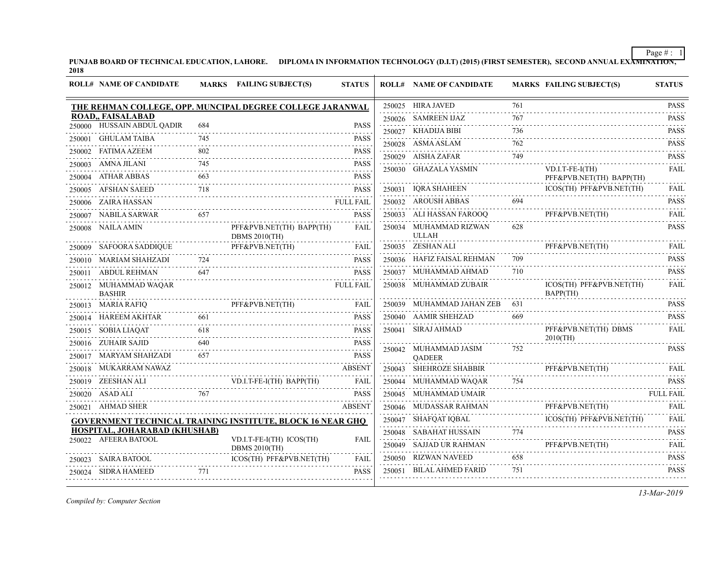PUNJAB BOARD OF TECHNICAL EDUCATION, LAHORE. DIPLOMA IN INFORMATION TECHNOLOGY (D.I.T) (2015) (FIRST SEMESTER), SECOND ANNUAL EXA<del>MINATION,</del><br>2018

|        | <b>ROLL# NAME OF CANDIDATE</b>                |            | MARKS FAILING SUBJECT(S)                                   | <b>STATUS</b>              | <b>ROLL# NAME OF CANDIDATE</b>         |          | <b>MARKS FAILING SUBJECT(S)</b>                                           | <b>STATUS</b>                                            |
|--------|-----------------------------------------------|------------|------------------------------------------------------------|----------------------------|----------------------------------------|----------|---------------------------------------------------------------------------|----------------------------------------------------------|
|        |                                               |            | THE REHMAN COLLEGE, OPP. MUNCIPAL DEGREE COLLEGE JARANWAL  |                            | 250025 HIRA JAVED                      | 761      |                                                                           | <b>PASS</b>                                              |
|        | ROAD,, FAISALABAD                             |            |                                                            |                            | 250026 SAMREEN IJAZ                    | 767      |                                                                           | <b>PASS</b><br>.                                         |
|        | 250000 HUSSAIN ABDUL QADIR                    | 684        |                                                            | <b>PASS</b>                | 250027 KHADIJA BIBI                    | 736      |                                                                           | <b>PASS</b>                                              |
|        | 250001 GHULAM TAIBA                           | 745        |                                                            | <b>PASS</b>                | 250028 ASMA ASLAM                      | 762      |                                                                           | <b>PASS</b>                                              |
|        | 250002 FATIMA AZEEM                           | 802        |                                                            | <b>PASS</b>                | 250029 AISHA ZAFAR                     | 749      |                                                                           | <b>PASS</b>                                              |
|        | 250003 AMNA JILANI                            | 745        |                                                            | <b>PASS</b>                | 250030 GHAZALA YASMIN                  |          | $VD.I.T-FE-I(TH)$                                                         | .<br><b>FAIL</b>                                         |
|        | 250004 ATHAR ABBAS                            | 663        |                                                            | <b>PASS</b>                |                                        |          | PFF&PVB.NET(TH) BAPP(TH)                                                  |                                                          |
|        | 250005 AFSHAN SAEED                           | 718        |                                                            | <b>PASS</b>                | 250031 IORA SHAHEEN                    |          | ICOS(TH) PFF&PVB.NET(TH)                                                  | FAIL.<br>.                                               |
|        | 250006 ZAIRA HASSAN                           |            |                                                            | <b>FULL FAIL</b>           | 250032 AROUSH ABBAS                    | 694      |                                                                           | <b>PASS</b>                                              |
|        | 250007 NABILA SARWAR 657                      |            |                                                            | <b>PASS</b>                | 250033 ALI HASSAN FAROOQ               |          | PFF&PVB.NET(TH)                                                           | FAIL                                                     |
|        | 250008 NAILA AMIN                             |            | PFF&PVB.NET(TH) BAPP(TH)<br><b>DBMS 2010(TH)</b>           | FAIL                       | 250034 MUHAMMAD RIZWAN<br><b>ULLAH</b> | 628      |                                                                           | <b>PASS</b>                                              |
|        | 250009 SAFOORA SADDIQUE                       |            | PFF&PVB.NET(TH)                                            | FAIL                       | 250035 ZESHAN ALI                      |          | PFF&PVB.NET(TH)                                                           | <b>FAIL</b><br>$\alpha$ , $\alpha$ , $\alpha$ , $\alpha$ |
|        | 250010 MARIAM SHAHZADI                        | 724        |                                                            | <b>PASS</b>                | 250036 HAFIZ FAISAL REHMAN             | 709<br>. |                                                                           | <b>PASS</b>                                              |
| 250011 | <b>ABDUL REHMAN</b>                           | 647        |                                                            | <b>PASS</b>                | 250037 MUHAMMAD AHMAD                  | 710      |                                                                           | <b>PASS</b>                                              |
|        | 250012 MUHAMMAD WAQAR<br><b>BASHIR</b>        |            |                                                            | <b>FULL FAIL</b>           | 250038 MUHAMMAD ZUBAIR                 |          | ICOS(TH) PFF&PVB.NET(TH)<br>BAPP(TH)                                      | <b>FAIL</b>                                              |
|        | 250013 MARIA RAFIQ                            |            | IQ<br>PFF&PVB.NET(TH)<br>PFF&PVB.NET(TH) FAIL              | <b>FAIL</b>                | 250039 MUHAMMAD JAHAN ZEB 631          |          |                                                                           | <b>PASS</b>                                              |
|        | 250014 HAREEM AKHTAR                          | 661        |                                                            | <b>PASS</b>                | 250040 AAMIR SHEHZAD                   | 669      |                                                                           | <b>PASS</b>                                              |
|        | 250015 SOBIA LIAQAT                           | 618<br>640 |                                                            | <b>PASS</b>                | 250041 SIRAJ AHMAD                     |          | PFF&PVB.NET(TH) DBMS<br>$2010$ (TH)                                       | <b>FAIL</b>                                              |
|        | 250016 ZUHAIR SAJID<br>250017 MARYAM SHAHZADI | 657        |                                                            | <b>PASS</b><br><b>PASS</b> | 250042 MUHAMMAD JASIM<br><b>QADEER</b> | 752      |                                                                           | <b>PASS</b>                                              |
|        | 250018 MUKARRAM NAWAZ                         |            |                                                            | <b>ABSENT</b>              | 250043 SHEHROZE SHABBIR                |          | PFF&PVB.NET(TH)                                                           | FAIL                                                     |
|        | 250019 ZEESHAN ALI                            |            | VD.I.T-FE-I(TH) BAPP(TH) FAIL                              | FAIL                       | 250044 MUHAMMAD WAQAR                  | 754      |                                                                           | <b>PASS</b>                                              |
|        | 250020 ASAD ALI                               | 767        |                                                            | <b>PASS</b>                | 250045 MUHAMMAD UMAIR                  |          |                                                                           | <b>FULL FAIL</b>                                         |
|        | 250021 AHMAD SHER                             |            |                                                            | <b>ABSENT</b>              | 250046 MUDASSAR RAHMAN                 |          | PFF&PVB.NET(TH)<br>RAHMAN PFF&PVB.NET(TH)                                 | FAII.                                                    |
|        |                                               |            | GOVERNMENT TECHNICAL TRAINING INSTITUTE, BLOCK 16 NEAR GHQ |                            |                                        |          | ICOS(TH) PFF&PVB.NET(TH)<br>250047 SHAFQAT IQBAL ICOS(TH) PFF&PVB.NET(TH) | <b>FAIL</b>                                              |
|        | HOSPITAL, JOHARABAD (KHUSHAB)                 |            |                                                            |                            | 250048 SABAHAT HUSSAIN 774             |          |                                                                           | <b>PASS</b>                                              |
|        | 250022 AFEERA BATOOL                          |            | VD.I.T-FE-I(TH) ICOS(TH)<br><b>DBMS 2010(TH)</b>           | <b>FAIL</b>                |                                        |          | PFF&PVB.NET(TH)                                                           | .<br>FAIL                                                |
|        | 250023 SAIRA BATOOL                           |            | ICOS(TH) PFF&PVB.NET(TH)                                   | <b>FAIL</b>                | 250050 RIZWAN NAVEED                   | 658      |                                                                           | <b>PASS</b><br>.                                         |
|        | 250024 SIDRA HAMEED                           | 771        |                                                            | <b>PASS</b>                | 250051 BILAL AHMED FARID               | 751      |                                                                           | <b>PASS</b>                                              |

*Compiled by: Computer Section*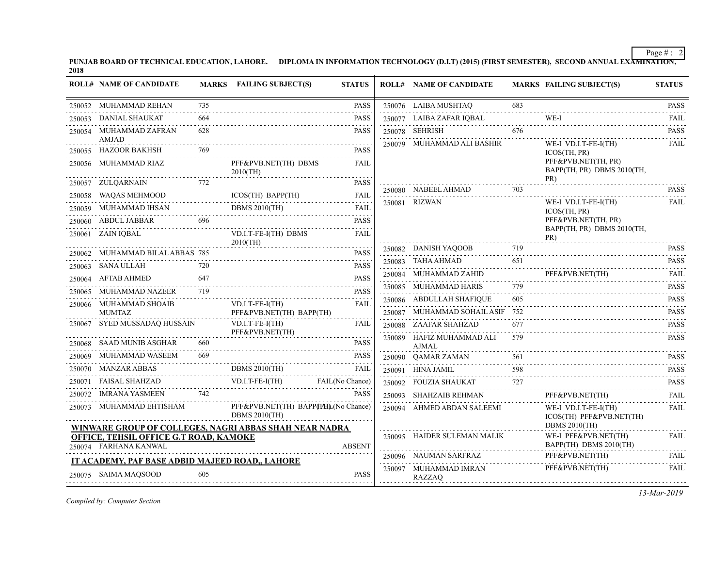PUNJAB BOARD OF TECHNICAL EDUCATION, LAHORE. DIPLOMA IN INFORMATION TECHNOLOGY (D.I.T) (2015) (FIRST SEMESTER), SECOND ANNUAL EXA<del>MINATION,</del><br>2018

| <b>ROLL# NAME OF CANDIDATE</b>                                                                   |          | MARKS FAILING SUBJECT(S)                                    | <b>STATUS</b>    | <b>ROLL# NAME OF CANDIDATE</b>            |          | <b>MARKS FAILING SUBJECT(S)</b>                   | <b>STATUS</b>                       |
|--------------------------------------------------------------------------------------------------|----------|-------------------------------------------------------------|------------------|-------------------------------------------|----------|---------------------------------------------------|-------------------------------------|
| 250052 MUHAMMAD REHAN                                                                            | 735<br>. |                                                             | <b>PASS</b>      | 250076 LAIBA MUSHTAQ                      | 683      |                                                   | <b>PASS</b>                         |
| 250053 DANIAL SHAUKAT                                                                            | 664      |                                                             | <b>PASS</b>      | 250077 LAIBA ZAFAR IQBAL                  |          | WE-I                                              | FAIL                                |
| 250054 MUHAMMAD ZAFRAN                                                                           | 628      |                                                             | <b>PASS</b>      | 250078 SEHRISH                            | 676      |                                                   | <b>PASS</b>                         |
| AMJAD<br>250055 HAZOOR BAKHSH                                                                    | 769      |                                                             | <b>PASS</b>      | 250079 MUHAMMAD ALI BASHIR                |          | WE-I VD.I.T-FE-I(TH)<br>ICOS(TH, PR)              | <b>FAIL</b>                         |
| 250056 MUHAMMAD RIAZ                                                                             |          | PFF&PVB.NET(TH) DBMS<br>$2010$ (TH)                         | FAIL             |                                           |          | PFF&PVB.NET(TH, PR)<br>BAPP(TH, PR) DBMS 2010(TH, |                                     |
| 772<br>250057 ZULQARNAIN                                                                         |          |                                                             | <b>PASS</b>      |                                           |          | PR)                                               | <b>PASS</b>                         |
| 250058 WAQAS MEHMOOD                                                                             |          | ICOS(TH) BAPP(TH) FAIL                                      |                  | 250080 NABEEL AHMAD 703<br>250081 RIZWAN  |          | WE-I VD.I.T-FE-I(TH)                              | <b>FAIL</b>                         |
| 250059 MUHAMMAD IHSAN                                                                            |          | <b>DBMS 2010(TH)</b><br>DBMS $2010(TH)$                     | <b>FAIL</b><br>. |                                           |          | ICOS(TH, PR)                                      |                                     |
| 250060 ABDUL JABBAR                                                                              | 696      |                                                             | <b>PASS</b>      |                                           |          | PFF&PVB.NET(TH, PR)                               |                                     |
| 250061 ZAIN IQBAL                                                                                |          | VD.I.T-FE-I(TH) DBMS<br>$2010$ (TH)                         | <b>FAIL</b>      |                                           |          | BAPP(TH, PR) DBMS 2010(TH,<br>PR)                 |                                     |
| 250062 MUHAMMAD BILAL ABBAS 785                                                                  |          |                                                             | <b>PASS</b>      | 250082 DANISH YAQOOB                      | 719      |                                                   | <b>PASS</b>                         |
| 250063 SANA ULLAH                                                                                | 720      |                                                             | <b>PASS</b>      | 250083 TAHA AHMAD                         | 651      |                                                   | <b>PASS</b>                         |
| 250064 AFTAB AHMED                                                                               | 647      |                                                             | <b>PASS</b>      | 250084 MUHAMMAD ZAHID PFF&PVB.NET(TH)     |          |                                                   | <b>FAIL</b><br>$\omega$ is a graph. |
| 250065 MUHAMMAD NAZEER                                                                           | 719      |                                                             | <b>PASS</b>      | 250085 MUHAMMAD HARIS                     |          |                                                   | <b>PASS</b><br>.                    |
| 250066 MUHAMMAD SHOAIB                                                                           | .        | $VD.I.T-FE-I(TH)$                                           | <b>FAIL</b>      | 250086 ABDULLAH SHAFIQUE                  | 605      |                                                   | <b>PASS</b>                         |
| MUMTAZ                                                                                           |          | PFF&PVB.NET(TH) BAPP(TH)                                    |                  | 250087 MUHAMMAD SOHAIL ASIF 752           |          |                                                   | <b>PASS</b><br>.                    |
| 250067 SYED MUSSADAQ HUSSAIN                                                                     |          | $VD.I.T-FE-I(TH)$<br>PFF&PVB.NET(TH)                        | FAIL             | 250088 ZAAFAR SHAHZAD                     | 677<br>. |                                                   | <b>PASS</b><br>.                    |
| 250068 SAAD MUNIB ASGHAR                                                                         | 660      |                                                             | <b>PASS</b>      | 250089 HAFIZ MUHAMMAD ALI<br><b>AJMAL</b> | 579      |                                                   | <b>PASS</b>                         |
| 250069 MUHAMMAD WASEEM                                                                           | 669      |                                                             | <b>PASS</b>      | 250090 QAMAR ZAMAN                        | 561      |                                                   | <b>PASS</b>                         |
| 250070 MANZAR ABBAS<br>0070 MANZAR ABBAS DBMS 2010(TH) FAIL                                      |          | DBMS $2010$ (TH)                                            |                  | 250091 HINA JAMIL                         | 598      |                                                   | <b>PASS</b><br>.                    |
| 250071 FAISAL SHAHZAD VD.I.T-FE-I(TH) FAIL(No Chance)                                            |          |                                                             |                  | 250092 FOUZIA SHAUKAT                     | 727      |                                                   | <b>PASS</b>                         |
| 250072 IMRANA YASMEEN                                                                            | 742      |                                                             | <b>PASS</b>      | 250093 SHAHZAIB REHMAN                    |          | PFF&PVB.NET(TH)                                   | <b>FAIL</b>                         |
| 250073 MUHAMMAD EHTISHAM                                                                         |          | PFF&PVB.NET(TH) BAPPIHHL(No Chance)<br><b>DBMS 2010(TH)</b> |                  | 250094 AHMED ABDAN SALEEMI                |          | WE-I VD.I.T-FE-I(TH)<br>ICOS(TH) PFF&PVB.NET(TH)  | <b>FAIL</b>                         |
| WINWARE GROUP OF COLLEGES, NAGRI ABBAS SHAH NEAR NADRA<br>OFFICE, TEHSIL OFFICE G.T ROAD, KAMOKE |          |                                                             |                  | 250095 HAIDER SULEMAN MALIK               |          | <b>DBMS 2010(TH)</b><br>WE-I PFF&PVB.NET(TH)      | FAIL                                |
| 250074 FARHANA KANWAL                                                                            |          |                                                             | <b>ABSENT</b>    |                                           |          | BAPP(TH) DBMS 2010(TH)                            |                                     |
| IT ACADEMY, PAF BASE ADBID MAJEED ROAD., LAHORE                                                  |          |                                                             |                  | 250096 NAUMAN SARFRAZ                     |          | PFF&PVB.NET(TH)                                   | <b>FAIL</b><br>.                    |
| 250075 SAIMA MAQSOOD                                                                             | 605      |                                                             | <b>PASS</b>      | 250097 MUHAMMAD IMRAN<br>RAZZAQ           |          | PFF&PVB.NET(TH)                                   | <b>FAIL</b>                         |
|                                                                                                  |          |                                                             |                  |                                           |          |                                                   |                                     |

*Compiled by: Computer Section*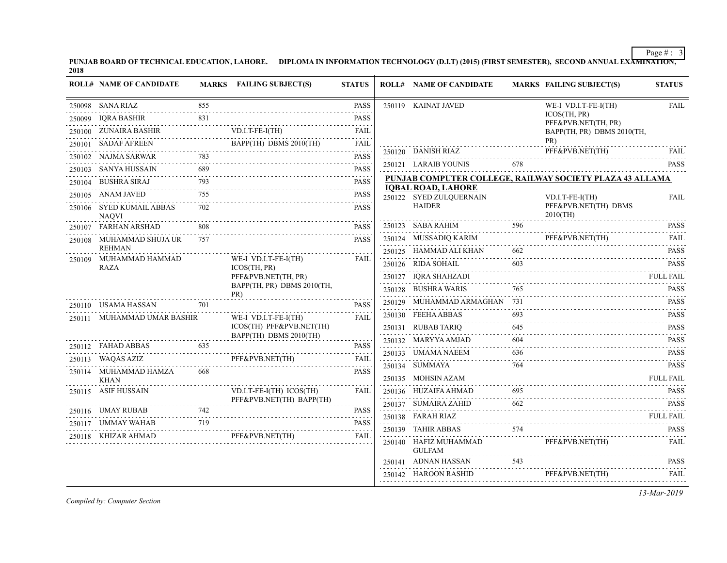PUNJAB BOARD OF TECHNICAL EDUCATION, LAHORE. DIPLOMA IN INFORMATION TECHNOLOGY (D.I.T) (2015) (FIRST SEMESTER), SECOND ANNUAL EXA<del>MINATION,</del><br>2018

| <b>ROLL# NAME OF CANDIDATE</b>           |     | MARKS FAILING SUBJECT(S)                                                                                                                                                             | <b>STATUS</b>                                                                                                                                                       | <b>ROLL# NAME OF CANDIDATE</b>    |     | <b>MARKS FAILING SUBJECT(S)</b>                                                                                                                                       | <b>STATUS</b>    |
|------------------------------------------|-----|--------------------------------------------------------------------------------------------------------------------------------------------------------------------------------------|---------------------------------------------------------------------------------------------------------------------------------------------------------------------|-----------------------------------|-----|-----------------------------------------------------------------------------------------------------------------------------------------------------------------------|------------------|
| 250098 SANA RIAZ                         | 855 |                                                                                                                                                                                      | <b>PASS</b>                                                                                                                                                         | 250119 KAINAT JAVED               |     | WE-I VD.I.T-FE-I(TH)                                                                                                                                                  | <b>FAIL</b>      |
| 250099 IQRA BASHIR                       | 831 | R 831                                                                                                                                                                                | <b>PASS</b>                                                                                                                                                         |                                   |     | ICOS(TH, PR)<br>PFF&PVB.NET(TH, PR)                                                                                                                                   |                  |
| 250100 ZUNAIRA BASHIR VD.I.T-FE-I(TH)    |     | $VD.I.T-FE-I(TH)$                                                                                                                                                                    | <b>FAIL</b><br>.                                                                                                                                                    |                                   |     | BAPP(TH, PR) DBMS 2010(TH,                                                                                                                                            |                  |
|                                          |     | 250101 SADAF AFREEN BAPP(TH) DBMS 2010(TH)                                                                                                                                           | <b>FAIL</b>                                                                                                                                                         |                                   |     | PR)                                                                                                                                                                   |                  |
| 250102 NAJMA SARWAR                      | 783 |                                                                                                                                                                                      | <b>PASS</b><br>$-1 - 1 - 1 - 1$                                                                                                                                     |                                   |     | 250120 DANISH RIAZ PFF&PVB.NET(TH) FAIL                                                                                                                               |                  |
| 250103 SANYA HUSSAIN                     | 689 |                                                                                                                                                                                      | <b>PASS</b>                                                                                                                                                         | 250121 LARAIB YOUNIS              |     | 678 — 100 $\sigma$                                                                                                                                                    | <b>PASS</b>      |
| 250104 BUSHRA SIRAJ                      | 793 |                                                                                                                                                                                      | <b>PASS</b>                                                                                                                                                         | <b>IQBAL ROAD, LAHORE</b>         |     | PUNJAB COMPUTER COLLEGE, RAILWAY SOCIETY PLAZA 43 ALLAMA                                                                                                              |                  |
| 250105 ANAM JAVED                        | 755 |                                                                                                                                                                                      | PASS                                                                                                                                                                | 250122 SYED ZULQUERNAIN           |     | $VD.I.T-FE-I(TH)$                                                                                                                                                     | <b>FAIL</b>      |
| 250106 SYED KUMAIL ABBAS<br><b>NAOVI</b> | 702 |                                                                                                                                                                                      | <b>PASS</b>                                                                                                                                                         | <b>HAIDER</b>                     |     | PFF&PVB.NET(TH) DBMS<br>$2010$ (TH)                                                                                                                                   |                  |
| 250107 FARHAN ARSHAD                     |     |                                                                                                                                                                                      | <b>PASS</b><br>.                                                                                                                                                    |                                   |     | 250123 SABA RAHIM 596 PASS                                                                                                                                            |                  |
| 250108 MUHAMMAD SHUJA UR                 | 757 |                                                                                                                                                                                      | <b>PASS</b>                                                                                                                                                         | 250124 MUSSADIQ KARIM             |     | PFF&PVB.NET(TH)<br>250124 MUSSADIQ KARIM PFF&PVB.NET(TH) FAIL                                                                                                         |                  |
| <b>REHMAN</b>                            |     | WE-I VD.I.T-FE-I(TH)                                                                                                                                                                 | FAIL                                                                                                                                                                | 250125 HAMMAD ALI KHAN            | 662 |                                                                                                                                                                       | <b>PASS</b>      |
| 250109 MUHAMMAD HAMMAD<br>RAZA           |     | ICOS(TH, PR)                                                                                                                                                                         |                                                                                                                                                                     |                                   | 603 | 250126 RIDA SOHAIL 603 PASS                                                                                                                                           |                  |
|                                          |     | PFF&PVB.NET(TH, PR)                                                                                                                                                                  |                                                                                                                                                                     |                                   |     |                                                                                                                                                                       |                  |
|                                          |     | BAPP(TH, PR) DBMS 2010(TH,<br>PR)                                                                                                                                                    |                                                                                                                                                                     | 250128 BUSHRA WARIS               | 765 |                                                                                                                                                                       | <b>PASS</b>      |
| 250110 USAMA HASSAN                      | 701 |                                                                                                                                                                                      | <b>PASS</b>                                                                                                                                                         | 250129 MUHAMMAD ARMAGHAN 731      |     |                                                                                                                                                                       | <b>PASS</b>      |
| 250111 MUHAMMAD UMAR BASHIR              |     | WE-I VD.I.T-FE-I(TH)                                                                                                                                                                 | FAIL                                                                                                                                                                | 250130 FEEHA ABBAS                | 693 | AS PASS 693 PASS                                                                                                                                                      | <b>PASS</b>      |
|                                          |     | ICOS(TH) PFF&PVB.NET(TH)<br>BAPP(TH) DBMS 2010(TH)                                                                                                                                   |                                                                                                                                                                     | 250131 RUBAB TARIQ                | 645 |                                                                                                                                                                       | <b>PASS</b><br>. |
| 250112 FAHAD ABBAS                       | 635 |                                                                                                                                                                                      | <b>PASS</b>                                                                                                                                                         | 250132 MARYYA AMJAD               | 604 |                                                                                                                                                                       | <b>PASS</b>      |
| 250113 WAQAS AZIZ                        |     |                                                                                                                                                                                      |                                                                                                                                                                     | 250133 UMAMA NAEEM                | 636 |                                                                                                                                                                       | <b>PASS</b>      |
| 250114 MUHAMMAD HAMZA                    | 668 | ZIZ PFF&PVB.NET(TH) FAIL                                                                                                                                                             | <b>PASS</b>                                                                                                                                                         | 250134 SUMMAYA                    | 764 |                                                                                                                                                                       | <b>PASS</b>      |
| <b>KHAN</b>                              |     |                                                                                                                                                                                      |                                                                                                                                                                     | $250135 \quad \text{MOHSIN AZAM}$ |     |                                                                                                                                                                       | FULL FAIL        |
| 250115 ASIF HUSSAIN                      |     | VD.I.T-FE-I(TH) ICOS(TH)                                                                                                                                                             | <b>FAIL</b>                                                                                                                                                         |                                   |     | 250136 HUZAIFA AHMAD 695 PASS                                                                                                                                         |                  |
|                                          |     | PFF&PVB.NET(TH) BAPP(TH)                                                                                                                                                             | $\frac{1}{2} \left( \frac{1}{2} \right) \left( \frac{1}{2} \right) \left( \frac{1}{2} \right) \left( \frac{1}{2} \right) \left( \frac{1}{2} \right)$<br><b>PASS</b> | 250137 SUMAIRA ZAHID              | 662 | 250137 SUMAIRA ZAHID 662 PASS                                                                                                                                         |                  |
|                                          |     | 250116 UMAY RUBAB 742                                                                                                                                                                |                                                                                                                                                                     | 250138 FARAH RIAZ                 |     |                                                                                                                                                                       |                  |
|                                          |     | $\begin{tabular}{lllllllll} \multicolumn{2}{c}{250117} & UMMAY WAHAB & & 719 & & & \textbf{PASS} \\ \hline 250117 & UMMAY WAHAB & & 719 & & & \textbf{PASS} \\ \hline \end{tabular}$ |                                                                                                                                                                     |                                   |     | 250139 TAHIR ABBAS 574 PASS                                                                                                                                           |                  |
|                                          |     |                                                                                                                                                                                      |                                                                                                                                                                     | 250140 HAFIZ MUHAMMAD<br>GULFAM   |     | PFF&PVB.NET(TH)                                                                                                                                                       | FAIL             |
|                                          |     |                                                                                                                                                                                      |                                                                                                                                                                     |                                   |     | $\begin{tabular}{llllll} \multicolumn{2}{c}{250141} & ADNAN HASSAN & & 543 & & & PASS \\ \hline 250142 & HAROON RASHID & & PFF\&PVB.NET(TH) & -FAIL \\ \end{tabular}$ |                  |
|                                          |     |                                                                                                                                                                                      |                                                                                                                                                                     |                                   |     |                                                                                                                                                                       |                  |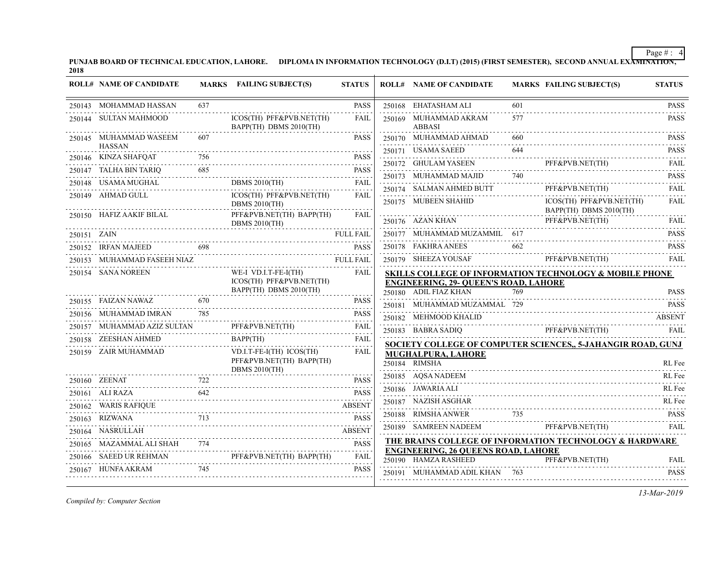PUNJAB BOARD OF TECHNICAL EDUCATION, LAHORE. DIPLOMA IN INFORMATION TECHNOLOGY (D.I.T) (2015) (FIRST SEMESTER), SECOND ANNUAL EXA<del>MINATION,</del><br>2018

|             | <b>ROLL# NAME OF CANDIDATE</b>           |     | MARKS FAILING SUBJECT(S)                                                     | <b>STATUS</b> | <b>ROLL# NAME OF CANDIDATE</b>                                     |     | <b>MARKS FAILING SUBJECT(S)</b>                                                                     | <b>STATUS</b>    |
|-------------|------------------------------------------|-----|------------------------------------------------------------------------------|---------------|--------------------------------------------------------------------|-----|-----------------------------------------------------------------------------------------------------|------------------|
|             | 250143 MOHAMMAD HASSAN                   | 637 |                                                                              | <b>PASS</b>   | 250168 EHATASHAM ALI                                               | 601 |                                                                                                     | <b>PASS</b>      |
|             | 250144 SULTAN MAHMOOD                    |     | ICOS(TH) PFF&PVB.NET(TH)<br>BAPP(TH) DBMS 2010(TH)                           | <b>FAIL</b>   | 250169 MUHAMMAD AKRAM<br><b>ABBASI</b>                             | 577 |                                                                                                     | <b>PASS</b>      |
|             | 250145 MUHAMMAD WASEEM                   |     |                                                                              | <b>PASS</b>   | 250170 MUHAMMAD AHMAD                                              |     |                                                                                                     | <b>PASS</b>      |
|             | <b>HASSAN</b><br>250146    KINZA SHAFQAT |     |                                                                              | <b>PASS</b>   | 250171 USAMA SAEED                                                 | 644 |                                                                                                     | <b>PASS</b><br>. |
|             |                                          |     |                                                                              |               |                                                                    |     | 250172 GHULAM YASEEN PFF&PVB.NET(TH) FAIL                                                           |                  |
|             | 250148 USAMA MUGHAL                      |     | 250147 TALHA BIN TARIQ 685 PASS PASS<br>DBMS 2010(TH)                        | FAIL          | 250173 MUHAMMAD MAJID 740                                          |     |                                                                                                     | <b>PASS</b>      |
|             | 250149 AHMAD GULL                        |     | ICOS(TH) PFF&PVB.NET(TH)                                                     | FAIL          | 250174 SALMAN AHMED BUTT<br>.                                      |     | PFF&PVB.NET(TH)                                                                                     | FAIL             |
|             |                                          |     | <b>DBMS 2010(TH)</b>                                                         |               | 250175 MUBEEN SHAHID                                               |     | ICOS(TH) PFF&PVB.NET(TH)<br>BAPP(TH) DBMS 2010(TH)                                                  | <b>FAIL</b>      |
|             | 250150 HAFIZ AAKIF BILAL                 |     | PFF&PVB.NET(TH) BAPP(TH)<br>DBMS $2010$ (TH)                                 | <b>FAIL</b>   | 250176 AZAN KHAN                                                   |     | PFF&PVB.NET(TH)                                                                                     | FAIL             |
| 250151 ZAIN |                                          |     |                                                                              | FULL FAIL     | 250177 MUHAMMAD MUZAMMIL 617                                       |     |                                                                                                     | <b>PASS</b>      |
|             | 250152 IRFAN MAJEED 698                  |     |                                                                              | <b>PASS</b>   | 250178 FAKHRA ANEES                                                | 662 |                                                                                                     | <b>PASS</b>      |
|             | 250153 MUHAMMAD FASEEH NIAZ              |     | FASEEH NIAZ<br>ANGLERALIZM                                                   |               |                                                                    |     | 250179 SHEEZA YOUSAF PFF&PVB.NET(TH)                                                                | FAIL             |
|             | 250154 SANA NOREEN                       |     | WE-I VD.I.T-FE-I(TH)<br>ICOS(TH) PFF&PVB.NET(TH)                             | FAIL          | <b>ENGINEERING, 29- QUEEN'S ROAD, LAHORE</b>                       |     | <b>SKILLS COLLEGE OF INFORMATION TECHNOLOGY &amp; MOBILE PHONE</b>                                  |                  |
|             |                                          |     | BAPP(TH) DBMS 2010(TH)                                                       |               | 250180 ADIL FIAZ KHAN                                              | 769 |                                                                                                     | <b>PASS</b>      |
|             | 250155 FAIZAN NAWAZ 670                  |     |                                                                              | <b>PASS</b>   | 250181 MUHAMMAD MUZAMMAL 729                                       |     |                                                                                                     | <b>PASS</b>      |
|             | 250156 MUHAMMAD IMRAN                    | 785 |                                                                              | <b>PASS</b>   | 250182 MEHMOOD KHALID                                              |     |                                                                                                     | <b>ABSENT</b>    |
|             |                                          |     | PFF&PVB.NET(TH) FAIL                                                         |               |                                                                    |     | 250183 BABRA SADIQ PFF&PVB.NET(TH)                                                                  | FAII.            |
|             | 250158 ZEESHAN AHMED<br>$B_4$            |     | BAPP(TH)                                                                     | FAIL<br>.     |                                                                    |     | SOCIETY COLLEGE OF COMPUTER SCIENCES, 5-JAHANGIR ROAD, GUNJ                                         |                  |
|             | 250159 ZAIR MUHAMMAD                     |     | VD.I.T-FE-I(TH) ICOS(TH)<br>PFF&PVB.NET(TH) BAPP(TH)<br><b>DBMS 2010(TH)</b> | <b>FAIL</b>   | MUGHALPURA, LAHORE<br>250184 RIMSHA                                |     |                                                                                                     | RL Fee           |
|             | $\Gamma$ 722<br>250160 ZEENAT            |     |                                                                              | <b>PASS</b>   | 250185 AQSA NADEEM                                                 |     |                                                                                                     | RL Fee           |
|             | 250161 ALI RAZA                          | 642 |                                                                              | <b>PASS</b>   | 250186 JAWARIA ALI                                                 |     |                                                                                                     | RL Fee           |
|             | 250162 WARIS RAFIQUE                     |     |                                                                              | ABSENT        | 250187 NAZISH ASGHAR                                               |     |                                                                                                     | RL Fee           |
|             | 250163 RIZWANA                           |     |                                                                              | <b>PASS</b>   |                                                                    |     | 250188 RIMSHA ANWER 735 PASS                                                                        |                  |
|             | 250164 NASRULLAH                         |     |                                                                              | ABSENT        | 250189 SAMREEN NADEEM                                              |     | PFF&PVB.NET(TH)<br>,我们也不会有什么。""我们的人,我们也不会有什么?""我们的人,我们也不会有什么?""我们的人,我们也不会有什么?""我们的人,我们也不会有什么?""我们的人 | FAII.            |
|             | 250165 MAZAMMAL ALI SHAH 774             |     |                                                                              | <b>PASS</b>   |                                                                    |     | <b>THE BRAINS COLLEGE OF INFORMATION TECHNOLOGY &amp; HARDWARE</b>                                  |                  |
|             |                                          |     | 250166 SAEED UR REHMAN PFF&PVB.NET(TH) BAPP(TH)                              | FAIL          | <b>ENGINEERING, 26 QUEENS ROAD, LAHORE</b><br>250190 HAMZA RASHEED |     | PFF&PVB.NET(TH)                                                                                     | FAIL             |
|             | 250167 HUNFA AKRAM                       | 745 |                                                                              | <b>PASS</b>   | 250191 MUHAMMAD ADIL KHAN 763                                      |     |                                                                                                     | <b>PASS</b>      |
|             |                                          |     |                                                                              |               |                                                                    |     |                                                                                                     |                  |

*Compiled by: Computer Section*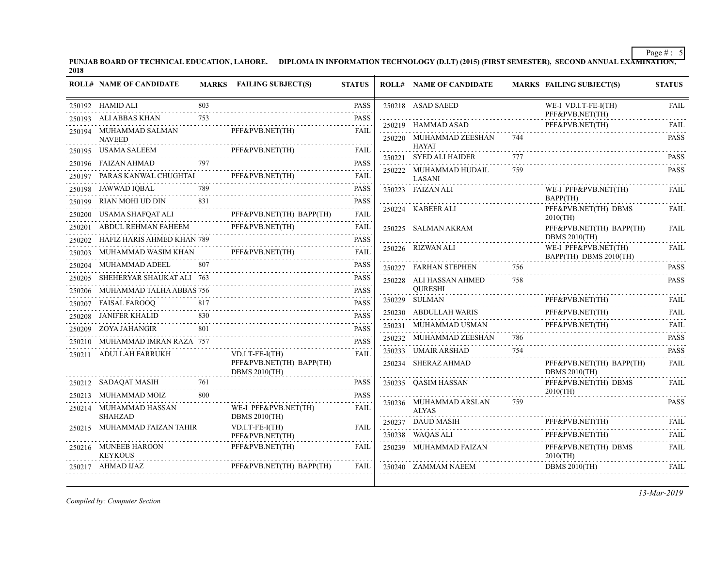PUNJAB BOARD OF TECHNICAL EDUCATION, LAHORE. DIPLOMA IN INFORMATION TECHNOLOGY (D.I.T) (2015) (FIRST SEMESTER), SECOND ANNUAL EXA<del>MINATION,</del><br>2018

|        | <b>ROLL# NAME OF CANDIDATE</b>           |          | MARKS FAILING SUBJECT(S)                         | <b>STATUS</b>                                                                                                                                                                           | <b>ROLL# NAME OF CANDIDATE</b>          |     | <b>MARKS FAILING SUBJECT(S)</b>                  | <b>STATUS</b>                       |
|--------|------------------------------------------|----------|--------------------------------------------------|-----------------------------------------------------------------------------------------------------------------------------------------------------------------------------------------|-----------------------------------------|-----|--------------------------------------------------|-------------------------------------|
|        | 250192 HAMID ALI                         | 803      |                                                  | <b>PASS</b>                                                                                                                                                                             | 250218 ASAD SAEED                       |     | WE-I VD.I.T-FE-I(TH)<br>PFF&PVB.NET(TH)          | <b>FAIL</b>                         |
|        | 250193 ALI ABBAS KHAN                    | 753<br>. |                                                  | <b>PASS</b>                                                                                                                                                                             | 250219 HAMMAD ASAD                      |     | PFF&PVB.NET(TH)                                  | .<br>FAIL                           |
|        | 250194 MUHAMMAD SALMAN<br><b>NAVEED</b>  |          | PFF&PVB.NET(TH)                                  | FAIL                                                                                                                                                                                    | 250220 MUHAMMAD ZEESHAN                 | 744 |                                                  | <b>PASS</b>                         |
|        | 250195 USAMA SALEEM                      |          | PFF&PVB.NET(TH)                                  | <b>FAIL</b>                                                                                                                                                                             | <b>HAYAT</b>                            |     |                                                  |                                     |
|        | 250196 FAIZAN AHMAD                      | 797      |                                                  | <b>PASS</b>                                                                                                                                                                             | 250221 SYED ALI HAIDER                  |     |                                                  | <b>PASS</b>                         |
|        | 250197 PARAS KANWAL CHUGHTAI             |          | PFF&PVB.NET(TH)                                  | .<br><b>FAIL</b>                                                                                                                                                                        | 250222 MUHAMMAD HUDAIL<br><b>LASANI</b> | 759 |                                                  | <b>PASS</b>                         |
| 250198 | JAWWAD IQBAL                             | 789      |                                                  | .<br><b>PASS</b>                                                                                                                                                                        | 250223 FAIZAN ALI                       |     | WE-I PFF&PVB.NET(TH)                             | <b>FAIL</b>                         |
|        | 250199 RIAN MOHI UD DIN                  | 831      |                                                  | <b>PASS</b>                                                                                                                                                                             |                                         |     | BAPP(TH)                                         |                                     |
|        | 250200 USAMA SHAFQAT ALI                 |          | PFF&PVB.NET(TH) BAPP(TH)                         | <b>FAIL</b>                                                                                                                                                                             | 250224 KABEER ALI                       |     | PFF&PVB.NET(TH) DBMS<br>$2010$ (TH)              | <b>FAIL</b>                         |
|        | 250201 ABDUL REHMAN FAHEEM               |          | PFF&PVB.NET(TH)                                  | الدامات المالية<br>FAIL                                                                                                                                                                 | 250225 SALMAN AKRAM                     |     | PFF&PVB.NET(TH) BAPP(TH)                         | <b>FAIL</b>                         |
|        | 250202 HAFIZ HARIS AHMED KHAN 789        |          |                                                  | <b>PASS</b>                                                                                                                                                                             |                                         |     | <b>DBMS 2010(TH)</b>                             |                                     |
|        | 250203 MUHAMMAD WASIM KHAN               |          | PFF&PVB.NET(TH)                                  | .<br><b>FAIL</b>                                                                                                                                                                        | 250226 RIZWAN ALI                       |     | WE-I PFF&PVB.NET(TH)<br>BAPP(TH) DBMS 2010(TH)   | <b>FAIL</b>                         |
|        | 250204 MUHAMMAD ADEEL                    | 807      |                                                  | PASS<br>.                                                                                                                                                                               | 250227 FARHAN STEPHEN                   | 756 |                                                  | <b>PASS</b>                         |
|        | 250205 SHEHERYAR SHAUKAT ALI 763         |          |                                                  | PASS<br>$\frac{1}{2} \left( \frac{1}{2} \right) \left( \frac{1}{2} \right) \left( \frac{1}{2} \right) \left( \frac{1}{2} \right) \left( \frac{1}{2} \right) \left( \frac{1}{2} \right)$ | 250228 ALI HASSAN AHMED                 | 758 |                                                  | <b>PASS</b>                         |
|        | 250206 MUHAMMAD TALHA ABBAS 756          |          |                                                  | <b>PASS</b>                                                                                                                                                                             | <b>OURESHI</b>                          |     |                                                  |                                     |
|        | 250207 FAISAL FAROOQ                     | 817      |                                                  | <b>PASS</b>                                                                                                                                                                             | 250229 SULMAN                           |     | PFF&PVB.NET(TH)                                  | <b>FAIL</b>                         |
| 250208 | JANIFER KHALID                           | 830      |                                                  | <b>PASS</b>                                                                                                                                                                             | 250230 ABDULLAH WARIS                   |     | PFF&PVB.NET(TH)                                  | <b>FAIL</b>                         |
|        | 250209 ZOYA JAHANGIR                     | 801      |                                                  | <b>PASS</b>                                                                                                                                                                             | 250231 MUHAMMAD USMAN                   |     | PFF&PVB.NET(TH)                                  | <b>FAIL</b><br>$\omega$ is a set of |
|        | 250210 MUHAMMAD IMRAN RAZA 757           |          |                                                  | <b>PASS</b>                                                                                                                                                                             | 250232 MUHAMMAD ZEESHAN                 | 786 |                                                  | <b>PASS</b><br>.                    |
|        | 250211 ADULLAH FARRUKH                   |          | $VD.I.T-FE-I(TH)$                                | <b>FAIL</b>                                                                                                                                                                             | 250233 UMAIR ARSHAD                     | 754 |                                                  | <b>PASS</b><br>$- - - - - -$        |
|        |                                          |          | PFF&PVB.NET(TH) BAPP(TH)<br><b>DBMS 2010(TH)</b> |                                                                                                                                                                                         | 250234 SHERAZ AHMAD                     |     | PFF&PVB.NET(TH) BAPP(TH)<br><b>DBMS 2010(TH)</b> | <b>FAIL</b>                         |
|        | 250212 SADAQAT MASIH                     | 761      |                                                  | <b>PASS</b>                                                                                                                                                                             | 250235 QASIM HASSAN                     |     | PFF&PVB.NET(TH) DBMS<br>$2010$ (TH)              | FAIL                                |
|        | 250213 MUHAMMAD MOIZ                     | 800      |                                                  | <b>PASS</b>                                                                                                                                                                             | 250236 MUHAMMAD ARSLAN                  | 759 |                                                  | .<br><b>PASS</b>                    |
|        | 250214 MUHAMMAD HASSAN<br><b>SHAHZAD</b> |          | WE-I PFF&PVB.NET(TH)<br><b>DBMS 2010(TH)</b>     | FAIL                                                                                                                                                                                    | <b>ALYAS</b>                            |     |                                                  |                                     |
|        | 250215 MUHAMMAD FAIZAN TAHIR             |          | $VD.I.T-FE-I(TH)$                                | <b>FAIL</b>                                                                                                                                                                             | 250237 DAUD MASIH                       |     | PFF&PVB.NET(TH)                                  | FAIL<br>.                           |
|        |                                          |          | PFF&PVB.NET(TH)                                  |                                                                                                                                                                                         | 250238 WAQAS ALI                        |     | PFF&PVB.NET(TH)                                  | <b>FAIL</b>                         |
|        | 250216 MUNEEB HAROON<br><b>KEYKOUS</b>   |          | PFF&PVB.NET(TH)                                  | <b>FAIL</b>                                                                                                                                                                             | 250239 MUHAMMAD FAIZAN                  |     | PFF&PVB.NET(TH) DBMS<br>$2010$ (TH)              | <b>FAIL</b>                         |
|        | 250217 AHMAD IJAZ                        |          | PFF&PVB.NET(TH) BAPP(TH)                         | FAIL                                                                                                                                                                                    | 250240 ZAMMAM NAEEM                     |     | <b>DBMS 2010(TH)</b>                             | FAIL                                |

*Compiled by: Computer Section*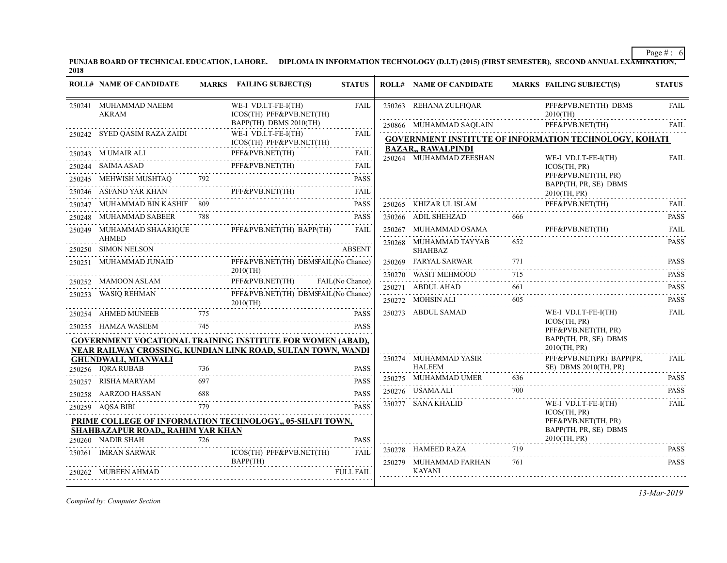PUNJAB BOARD OF TECHNICAL EDUCATION, LAHORE. DIPLOMA IN INFORMATION TECHNOLOGY (D.I.T) (2015) (FIRST SEMESTER), SECOND ANNUAL EXA<del>MINATION,</del><br>2018

|        | <b>ROLL# NAME OF CANDIDATE</b>                  |     | MARKS FAILING SUBJECT(S)                                          | <b>STATUS</b>    | <b>ROLL# NAME OF CANDIDATE</b>                       |                       | <b>MARKS FAILING SUBJECT(S)</b>                               | <b>STATUS</b>    |
|--------|-------------------------------------------------|-----|-------------------------------------------------------------------|------------------|------------------------------------------------------|-----------------------|---------------------------------------------------------------|------------------|
|        | 250241 MUHAMMAD NAEEM<br>AKRAM                  |     | WE-I VD.I.T-FE-I(TH)<br>ICOS(TH) PFF&PVB.NET(TH)                  | <b>FAIL</b>      | 250263 REHANA ZULFIOAR                               |                       | PFF&PVB.NET(TH) DBMS<br>$2010$ (TH)                           | <b>FAIL</b>      |
|        |                                                 |     | BAPP(TH) DBMS 2010(TH)                                            |                  | 250866 MUHAMMAD SAQLAIN                              |                       | PFF&PVB.NET(TH)                                               | <b>FAIL</b>      |
|        | 250242 SYED OASIM RAZA ZAIDI                    |     | WE-I VD.I.T-FE-I(TH)<br>ICOS(TH) PFF&PVB.NET(TH)                  | FAIL             |                                                      |                       | <b>GOVERNMENT INSTITUTE OF INFORMATION TECHNOLOGY, KOHATI</b> |                  |
|        | 250243 M UMAIR ALI                              |     | PFF&PVB.NET(TH)                                                   | <b>FAIL</b><br>. | <b>BAZAR,, RAWALPINDI</b><br>250264 MUHAMMAD ZEESHAN |                       | WE-I VD.I.T-FE-I(TH)                                          | <b>FAIL</b>      |
| 250244 | SAIMA ASAD                                      |     | PFF&PVB.NET(TH)                                                   | <b>FAIL</b>      |                                                      |                       | ICOS(TH, PR)                                                  |                  |
|        | 250245 MEHWISH MUSHTAQ 792                      |     |                                                                   | <b>PASS</b>      |                                                      |                       | PFF&PVB.NET(TH, PR)<br>BAPP(TH, PR, SE) DBMS                  |                  |
|        | 250246 ASFAND YAR KHAN                          |     | PFF&PVB.NET(TH)                                                   | FAII.            |                                                      |                       | 2010(TH, PR)                                                  |                  |
|        | 250247 MUHAMMAD BIN KASHIF 809                  |     |                                                                   | <b>PASS</b>      | 250265 KHIZAR UL ISLAM                               |                       | PFF&PVB.NET(TH)                                               | FAII.            |
|        | 250248 MUHAMMAD SABEER                          | 788 |                                                                   | <b>PASS</b>      | 250266 ADIL SHEHZAD                                  | 666                   |                                                               | .<br><b>PASS</b> |
|        | 250249 MUHAMMAD SHAARIQUE<br><b>AHMED</b>       |     | PFF&PVB.NET(TH) BAPP(TH)                                          | FAII.            | 250267 MUHAMMAD OSAMA                                |                       | PFF&PVB.NET(TH)                                               | <b>FAIL</b><br>. |
|        | 250250 SIMON NELSON                             |     |                                                                   | <b>ABSENT</b>    | 250268 MUHAMMAD TAYYAB<br><b>SHAHBAZ</b>             | 652                   |                                                               | <b>PASS</b>      |
|        | 250251 MUHAMMAD JUNAID                          |     | PFF&PVB.NET(TH) DBMSFAIL(No Chance)                               |                  | 250269 FARYAL SARWAR                                 | 771<br>and a straight |                                                               | <b>PASS</b>      |
|        |                                                 |     | $2010$ (TH)                                                       |                  | 250270 WASIT MEHMOOD                                 | 715                   |                                                               | <b>PASS</b>      |
|        | 250252 MAMOON ASLAM                             |     | PFF&PVB.NET(TH)                                                   | FAIL(No Chance)  | 250271 ABDUL AHAD                                    | 661                   |                                                               | <b>PASS</b>      |
|        | 250253 WASIQ REHMAN                             |     | PFF&PVB.NET(TH) DBMSFAIL(No Chance)<br>$2010$ (TH)                |                  | 250272 MOHSIN ALI                                    | 605                   |                                                               | <b>PASS</b>      |
|        | 250254 AHMED MUNEEB                             | 775 |                                                                   | <b>PASS</b>      | 250273 ABDUL SAMAD                                   |                       | WE-I VD.I.T-FE-I(TH)                                          | <b>FAIL</b>      |
|        | 250255 HAMZA WASEEM                             | 745 |                                                                   | <b>PASS</b>      |                                                      |                       | ICOS(TH, PR)<br>PFF&PVB.NET(TH, PR)                           |                  |
|        |                                                 |     | <b>GOVERNMENT VOCATIONAL TRAINING INSTITUTE FOR WOMEN (ABAD),</b> |                  |                                                      |                       | BAPP(TH, PR, SE) DBMS                                         |                  |
|        |                                                 |     | NEAR RAILWAY CROSSING, KUNDIAN LINK ROAD, SULTAN TOWN, WANDI      |                  |                                                      |                       | 2010(TH, PR)                                                  |                  |
|        | <b>GHUNDWALI, MIANWALI</b><br>250256 IQRA RUBAB | 736 |                                                                   | <b>PASS</b>      | 250274 MUHAMMAD YASIR<br><b>HALEEM</b>               |                       | PFF&PVB.NET(PR) BAPP(PR,<br>SE) DBMS 2010(TH, PR)             | FAIL             |
|        | 250257     RISHA MARYAM                         | 697 |                                                                   | <b>PASS</b>      | 250275 MUHAMMAD UMER                                 | 636                   |                                                               | <b>PASS</b>      |
|        | 250258 AARZOO HASSAN                            | 688 |                                                                   | <b>PASS</b>      | 250276 USAMA ALI                                     | 700                   |                                                               | <b>PASS</b>      |
|        | 250259 AQSA BIBI                                | 779 |                                                                   | <b>PASS</b>      | 250277 SANA KHALID                                   |                       | WE-I VD.I.T-FE-I(TH)                                          | <b>FAIL</b>      |
|        |                                                 |     |                                                                   |                  |                                                      |                       | ICOS(TH, PR)                                                  |                  |
|        | SHAHBAZAPUR ROAD,, RAHIM YAR KHAN               |     | PRIME COLLEGE OF INFORMATION TECHNOLOGY, 05-SHAFI TOWN,           |                  |                                                      |                       | PFF&PVB.NET(TH, PR)<br>BAPP(TH, PR, SE) DBMS                  |                  |
|        | 250260 NADIR SHAH                               | 726 |                                                                   | <b>PASS</b>      |                                                      |                       | 2010(TH, PR)                                                  |                  |
|        | 250261 IMRAN SARWAR                             |     | ICOS(TH) PFF&PVB.NET(TH)                                          | <b>FAIL</b>      | 250278 HAMEED RAZA                                   | 719                   |                                                               | <b>PASS</b>      |
|        | 250262 MUBEEN AHMAD                             |     | BAPP(TH)                                                          | <b>FULL FAIL</b> | 250279 MUHAMMAD FARHAN<br><b>KAYANI</b>              | 761                   |                                                               | <b>PASS</b>      |
|        |                                                 |     |                                                                   |                  |                                                      |                       |                                                               |                  |

*Compiled by: Computer Section*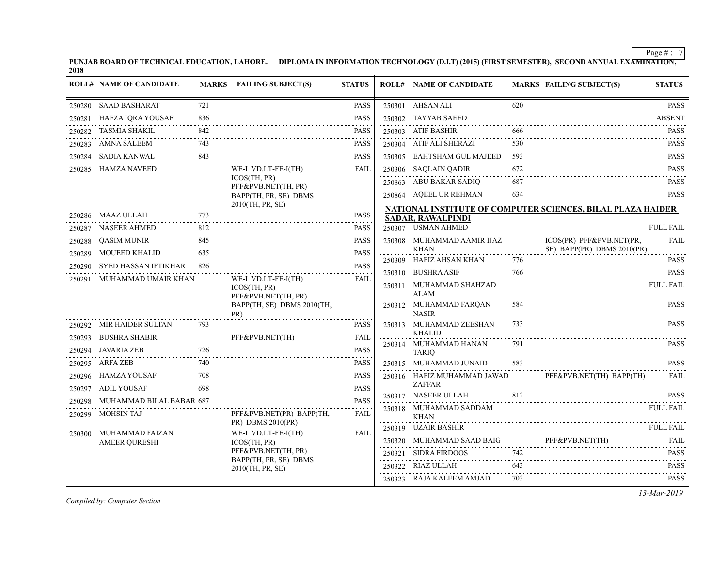PUNJAB BOARD OF TECHNICAL EDUCATION, LAHORE. DIPLOMA IN INFORMATION TECHNOLOGY (D.I.T) (2015) (FIRST SEMESTER), SECOND ANNUAL EXA<del>MINATION,</del><br>2018

|        | <b>ROLL# NAME OF CANDIDATE</b>  |     | MARKS FAILING SUBJECT(S)                                    | <b>STATUS</b>                | <b>ROLL# NAME OF CANDIDATE</b>            |     | <b>MARKS FAILING SUBJECT(S)</b>                             | <b>STATUS</b>                       |
|--------|---------------------------------|-----|-------------------------------------------------------------|------------------------------|-------------------------------------------|-----|-------------------------------------------------------------|-------------------------------------|
|        | 250280 SAAD BASHARAT            | 721 |                                                             | <b>PASS</b>                  | 250301 AHSAN ALI                          | 620 |                                                             | <b>PASS</b>                         |
| 250281 | HAFZA IQRA YOUSAF               | 836 |                                                             | .<br><b>PASS</b>             | 250302 TAYYAB SAEED                       |     |                                                             | <b>ABSENT</b>                       |
| 250282 | TASMIA SHAKIL                   | 842 |                                                             | <b>PASS</b>                  | 250303 ATIF BASHIR                        | 666 |                                                             | <b>PASS</b>                         |
| 250283 | <b>AMNA SALEEM</b>              | 743 |                                                             | <b>PASS</b>                  | 250304 ATIF ALI SHERAZI                   | 530 |                                                             | <b>PASS</b>                         |
| 250284 | SADIA KANWAL                    | 843 |                                                             | <b>PASS</b>                  | 250305 EAHTSHAM GUL MAJEED 593            |     |                                                             | <b>PASS</b>                         |
|        | 250285 HAMZA NAVEED             |     | WE-I VD.I.T-FE-I(TH)                                        | <b>FAIL</b>                  | 250306 SAQLAIN QADIR                      | 672 |                                                             | <b>PASS</b>                         |
|        |                                 |     | ICOS(TH, PR)<br>PFF&PVB.NET(TH, PR)                         |                              | 250863 ABU BAKAR SADIQ                    | 687 |                                                             | <b>PASS</b>                         |
|        |                                 |     | BAPP(TH, PR, SE) DBMS                                       |                              | 250864 AQEEL UR REHMAN                    | 634 |                                                             | <b>PASS</b>                         |
|        |                                 |     | 2010(TH, PR, SE)                                            |                              |                                           |     | NATIONAL INSTITUTE OF COMPUTER SCIENCES, BILAL PLAZA HAIDER |                                     |
|        | 250286 MAAZ ULLAH               |     |                                                             | <b>PASS</b>                  | <b>SADAR, RAWALPINDI</b>                  |     |                                                             |                                     |
|        | 250287 NASEER AHMED             | 812 |                                                             | <b>PASS</b>                  | 250307 USMAN AHMED                        |     |                                                             | <b>FULL FAIL</b>                    |
|        | 250288 QASIM MUNIR              | 845 |                                                             | <b>PASS</b><br>$- - - - - -$ | 250308 MUHAMMAD AAMIR IJAZ<br><b>KHAN</b> |     | ICOS(PR) PFF&PVB.NET(PR,<br>SE) BAPP(PR) DBMS 2010(PR)      | FAIL                                |
| 250289 | <b>MOUEED KHALID</b>            | 635 |                                                             | <b>PASS</b>                  | 250309 HAFIZ AHSAN KHAN                   | 776 |                                                             | <b>PASS</b>                         |
| 250290 | SYED HASSAN IFTIKHAR 826        |     |                                                             | <b>PASS</b>                  | 250310 BUSHRA ASIF                        | 766 |                                                             | <b>PASS</b>                         |
|        | 250291 MUHAMMAD UMAIR KHAN      |     | WE-I VD.I.T-FE-I(TH)<br>ICOS(TH, PR)<br>PFF&PVB.NET(TH, PR) | <b>FAIL</b>                  | 250311 MUHAMMAD SHAHZAD<br><b>ALAM</b>    |     |                                                             | <b>FULL FAIL</b>                    |
|        |                                 |     | BAPP(TH, SE) DBMS 2010(TH,<br>PR)                           |                              | 250312 MUHAMMAD FARQAN<br><b>NASIR</b>    | 584 |                                                             | <b>PASS</b>                         |
|        | 250292 MIR HAIDER SULTAN        | 793 |                                                             | <b>PASS</b>                  | 250313 MUHAMMAD ZEESHAN                   | 733 |                                                             | <b>PASS</b>                         |
|        | 250293 BUSHRA SHABIR            |     | PFF&PVB.NET(TH)                                             | <b>FAIL</b>                  | <b>KHALID</b><br>250314 MUHAMMAD HANAN    | 791 |                                                             | $\omega$ is a single<br><b>PASS</b> |
|        | 250294 JAVARIA ZEB              | 726 |                                                             | <b>PASS</b>                  | <b>TARIO</b>                              |     |                                                             | .                                   |
|        | 250295 ARFA ZEB                 | 740 |                                                             | <b>PASS</b>                  | 250315 MUHAMMAD JUNAID                    | 583 |                                                             | <b>PASS</b>                         |
|        | 250296 HAMZA YOUSAF             | 708 |                                                             | <b>PASS</b>                  | 250316 HAFIZ MUHAMMAD JAWAD               |     | PFF&PVB.NET(TH) BAPP(TH)                                    | FAII.                               |
|        | 250297 ADIL YOUSAF              | 698 |                                                             | <b>PASS</b><br>.             | <b>ZAFFAR</b><br>250317 NASEER ULLAH      | 812 |                                                             |                                     |
|        | 250298 MUHAMMAD BILAL BABAR 687 |     |                                                             | <b>PASS</b>                  |                                           |     |                                                             | <b>PASS</b>                         |
| 250299 | <b>MOHSIN TAJ</b>               |     | PFF&PVB.NET(PR) BAPP(TH,<br>PR) DBMS 2010(PR)               | .<br>FAIL                    | 250318 MUHAMMAD SADDAM<br><b>KHAN</b>     |     |                                                             | <b>FULL FAIL</b>                    |
|        | 250300 MUHAMMAD FAIZAN          |     | WE-I VD.I.T-FE-I(TH)                                        | FAIL                         | 250319 UZAIR BASHIR                       |     |                                                             | FULL FAIL                           |
|        | <b>AMEER QURESHI</b>            |     | ICOS(TH, PR)                                                |                              | 250320 MUHAMMAD SAAD BAIG                 |     | PFF&PVB.NET(TH)                                             | FAIL                                |
|        |                                 |     | PFF&PVB.NET(TH, PR)<br>BAPP(TH, PR, SE) DBMS                |                              | 250321 SIDRA FIRDOOS                      | 742 |                                                             | <b>PASS</b>                         |
|        |                                 |     | 2010(TH, PR, SE)                                            |                              | 250322 RIAZ ULLAH                         | 643 |                                                             | <b>PASS</b><br>.                    |
|        |                                 |     |                                                             |                              | 250323 RAJA KALEEM AMJAD                  | 703 |                                                             | PASS                                |

*Compiled by: Computer Section*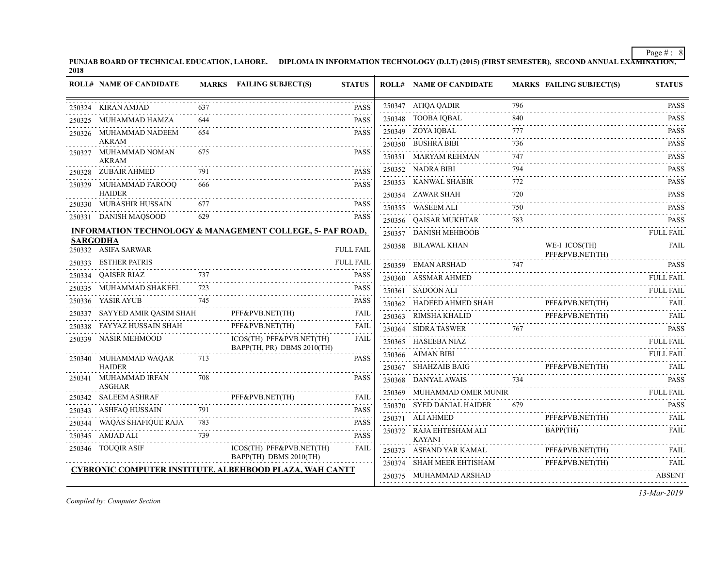PUNJAB BOARD OF TECHNICAL EDUCATION, LAHORE. DIPLOMA IN INFORMATION TECHNOLOGY (D.I.T) (2015) (FIRST SEMESTER), SECOND ANNUAL EXA<del>MINATION,</del><br>2018

|        | <b>ROLL# NAME OF CANDIDATE</b>         |     | <b>MARKS</b> FAILING SUBJECT(S)                                      | <b>STATUS</b>    | <b>ROLL# NAME OF CANDIDATE</b>                 |                             | <b>MARKS FAILING SUBJECT(S)</b>                                                                                   | <b>STATUS</b>    |
|--------|----------------------------------------|-----|----------------------------------------------------------------------|------------------|------------------------------------------------|-----------------------------|-------------------------------------------------------------------------------------------------------------------|------------------|
|        | 250324 KIRAN AMJAD                     |     |                                                                      | <b>PASS</b>      | 250347 ATIQA QADIR                             | 796                         |                                                                                                                   | <b>PASS</b>      |
|        | 250325 MUHAMMAD HAMZA                  |     |                                                                      | <b>PASS</b>      | 250348 TOOBA IQBAL                             | 840                         |                                                                                                                   | <b>PASS</b><br>. |
|        | 250326 MUHAMMAD NADEEM                 | 654 |                                                                      | <b>PASS</b>      | 250349 ZOYA IQBAL                              | 777                         |                                                                                                                   | <b>PASS</b>      |
|        | <b>AKRAM</b>                           |     |                                                                      |                  | 250350 BUSHRA BIBI                             | 736                         |                                                                                                                   | <b>PASS</b>      |
|        | 250327 MUHAMMAD NOMAN<br><b>AKRAM</b>  |     |                                                                      | <b>PASS</b>      | 250351 MARYAM REHMAN                           | 747                         |                                                                                                                   | <b>PASS</b><br>. |
|        | 250328 ZUBAIR AHMED                    |     |                                                                      | <b>PASS</b>      | 250352 NADRA BIBI                              | 794                         |                                                                                                                   | PASS<br>.        |
|        | 250329 MUHAMMAD FAROOQ                 | 666 |                                                                      | <b>PASS</b>      | 250353 KANWAL SHABIR                           | 772                         |                                                                                                                   | <b>PASS</b>      |
|        | <b>HAIDER</b>                          |     |                                                                      |                  | 250354 ZAWAR SHAH                              | 720<br>$\omega$ is a set of |                                                                                                                   | <b>PASS</b>      |
|        | 250330 MUBASHIR HUSSAIN                |     |                                                                      | <b>PASS</b>      | 250355 WASEEM ALI                              | 750                         |                                                                                                                   | <b>PASS</b>      |
|        | 250331 DANISH MAQSOOD                  | 629 |                                                                      | <b>PASS</b>      | 250356 QAISAR MUKHTAR                          | 783                         | TAR 783 PASS                                                                                                      | <b>PASS</b>      |
|        |                                        |     | <b>INFORMATION TECHNOLOGY &amp; MANAGEMENT COLLEGE, 5- PAF ROAD,</b> |                  | 250357 DANISH MEHBOOB                          |                             |                                                                                                                   | <b>FULL FAIL</b> |
|        | <b>SARGODHA</b><br>250332 ASIFA SARWAR |     |                                                                      | <b>FULL FAIL</b> | 250358 BILAWAL KHAN                            |                             | WE-I ICOS(TH)<br>PFF&PVB.NET(TH)                                                                                  | <b>FAIL</b>      |
|        | 250333 ESTHER PATRIS                   |     |                                                                      | <b>FULL FAIL</b> |                                                |                             |                                                                                                                   | <b>PASS</b>      |
|        | 250334 QAISER RIAZ                     | 737 |                                                                      | <b>PASS</b>      | 250360 ASSMAR AHMED                            |                             |                                                                                                                   | <b>FULL FAIL</b> |
| 250335 | MUHAMMAD SHAKEEL                       | 723 |                                                                      | <b>PASS</b>      | 250361 SADOON ALI                              |                             |                                                                                                                   | <b>FULL FAIL</b> |
|        | 250336 YASIR AYUB                      | 745 |                                                                      | <b>PASS</b>      | 250362 HADEED AHMED SHAH                       |                             |                                                                                                                   |                  |
|        | 250337 SAYYED AMIR QASIM SHAH          |     | PFF&PVB.NET(TH)                                                      | <b>FAIL</b>      | 250363 RIMSHA KHALID                           |                             | $\begin{tabular}{ll} \bf PFF\&\bf PVB.NET(TH) & \bf FAIL \\ \bf PFF\&\bf PVB.NET(TH) & \bf FAIL \\ \end{tabular}$ |                  |
|        | 250338 FAYYAZ HUSSAIN SHAH             |     | PFF&PVB.NET(TH)                                                      | <b>FAIL</b>      | 250364 SIDRA TASWER                            | 767                         |                                                                                                                   | <b>PASS</b>      |
|        | 250339 NASIR MEHMOOD                   |     | ICOS(TH) PFF&PVB.NET(TH)<br>BAPP(TH, PR) DBMS 2010(TH)               | <b>FAIL</b>      | 250365 HASEEBA NIAZ                            |                             |                                                                                                                   | <b>FULL FAIL</b> |
|        | 250340 MUHAMMAD WAQAR                  | 713 |                                                                      | <b>PASS</b>      | 250366 AIMAN BIBI                              |                             |                                                                                                                   | <b>FULL FAIL</b> |
|        | HAIDER                                 |     |                                                                      |                  | 250367 SHAHZAIB BAIG                           |                             | PFF&PVB.NET(TH) FAIL                                                                                              |                  |
|        | 250341 MUHAMMAD IRFAN                  | 708 |                                                                      | <b>PASS</b>      | 250368 DANYAL AWAIS                            | 734                         |                                                                                                                   | <b>PASS</b>      |
|        | <b>ASGHAR</b><br>250342 SALEEM ASHRAF  |     | PFF&PVB.NET(TH)                                                      | <b>FAIL</b>      | 250369 MUHAMMAD OMER MUNIR                     |                             |                                                                                                                   | <b>FULL FAIL</b> |
| 250343 | ASHFAQ HUSSAIN                         | 791 |                                                                      | <b>PASS</b>      | 250370 SYED DANIAL HAIDER                      |                             |                                                                                                                   | <b>PASS</b>      |
|        | 250344 WAQAS SHAFIQUE RAJA 783         |     |                                                                      | <b>PASS</b>      | 250371 ALI AHMED                               |                             | PFF&PVB.NET(TH)                                                                                                   | FAIL             |
|        | 250345 AMJAD ALI                       | 739 |                                                                      | <b>PASS</b>      | 250372 RAJA EHTESHAM ALI<br><b>KAYANI</b>      |                             | BAPP(TH)                                                                                                          | FAIL             |
|        | 250346 TOUQIR ASIF                     |     | ICOS(TH) PFF&PVB.NET(TH)                                             | FAIL             | 250373 ASFAND YAR KAMAL                        |                             | PFF&PVB.NET(TH)                                                                                                   | FAIL             |
|        |                                        |     | BAPP(TH) DBMS 2010(TH)                                               |                  | 250374 SHAH MEER EHTISHAM PFF&PVB.NET(TH) FAIL |                             |                                                                                                                   |                  |
|        |                                        |     | <b>CYBRONIC COMPUTER INSTITUTE, ALBEHBOOD PLAZA, WAH CANTT</b>       |                  | 250375 MUHAMMAD ARSHAD                         |                             |                                                                                                                   | ABSENT           |

*Compiled by: Computer Section*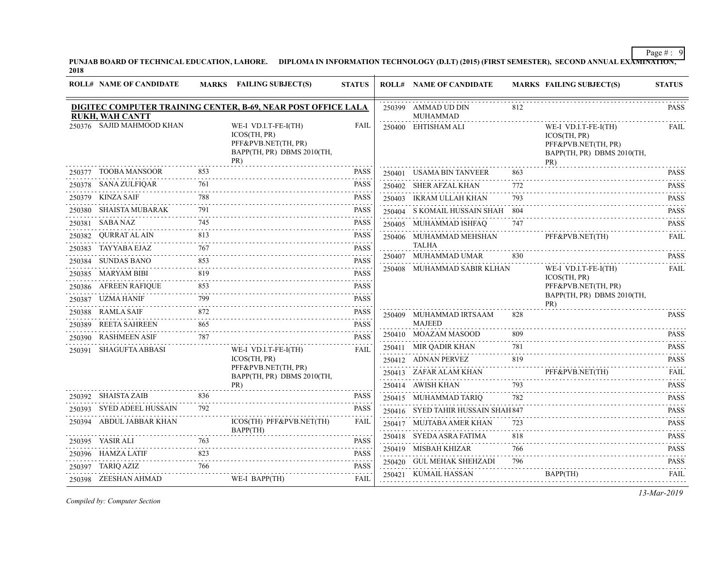PUNJAB BOARD OF TECHNICAL EDUCATION, LAHORE. DIPLOMA IN INFORMATION TECHNOLOGY (D.I.T) (2015) (FIRST SEMESTER), SECOND ANNUAL EXA<del>MINATION,</del><br>2018

|        | <b>ROLL# NAME OF CANDIDATE</b> |     | MARKS FAILING SUBJECT(S)                                                                         | <b>STATUS</b>            | <b>ROLL# NAME OF CANDIDATE</b>         |     | <b>MARKS FAILING SUBJECT(S)</b>                                                                  | <b>STATUS</b>               |
|--------|--------------------------------|-----|--------------------------------------------------------------------------------------------------|--------------------------|----------------------------------------|-----|--------------------------------------------------------------------------------------------------|-----------------------------|
|        | <b>RUKH, WAH CANTT</b>         |     | DIGITEC COMPUTER TRAINING CENTER, B-69, NEAR POST OFFICE LALA                                    |                          | 250399 AMMAD UD DIN<br><b>MUHAMMAD</b> | 812 |                                                                                                  | <b>PASS</b>                 |
|        | 250376 SAJID MAHMOOD KHAN      |     | WE-I VD.I.T-FE-I(TH)<br>ICOS(TH, PR)<br>PFF&PVB.NET(TH, PR)<br>BAPP(TH, PR) DBMS 2010(TH,<br>PR) | <b>FAIL</b>              | 250400 EHTISHAM ALI                    |     | WE-I VD.I.T-FE-I(TH)<br>ICOS(TH, PR)<br>PFF&PVB.NET(TH, PR)<br>BAPP(TH, PR) DBMS 2010(TH,<br>PR) | <b>FAIL</b>                 |
|        | 250377 TOOBA MANSOOR           | 853 |                                                                                                  | <b>PASS</b>              | 250401 USAMA BIN TANVEER<br>.          | 863 |                                                                                                  | <b>PASS</b><br>.            |
|        | 250378 SANA ZULFIQAR<br>.      | 761 |                                                                                                  | <b>PASS</b>              | 250402 SHER AFZAL KHAN                 | 772 |                                                                                                  | <b>PASS</b>                 |
|        | 250379 KINZA SAIF              | 788 |                                                                                                  | <b>PASS</b>              | 250403 IKRAM ULLAH KHAN                | 793 |                                                                                                  | <b>PASS</b><br>.            |
|        | 250380 SHAISTA MUBARAK         | 791 |                                                                                                  | <b>PASS</b>              | 250404 S KOMAIL HUSSAIN SHAH 804<br>.  |     |                                                                                                  | <b>PASS</b><br>.            |
|        | 250381 SABA NAZ                | 745 |                                                                                                  | <b>PASS</b>              | 250405 MUHAMMAD ISHFAQ                 | 747 |                                                                                                  | <b>PASS</b>                 |
|        | 250382 QURRAT AL AIN           | 813 |                                                                                                  | <b>PASS</b><br>.         | 250406 MUHAMMAD MEHSHAN                |     | PFF&PVB.NET(TH)                                                                                  | FAII.                       |
|        | 250383 TAYYABA EJAZ            | 767 |                                                                                                  | <b>PASS</b>              | <b>TALHA</b><br>250407 MUHAMMAD UMAR   | 830 |                                                                                                  | <b>PASS</b>                 |
|        | 250384 SUNDAS BANO             | 853 |                                                                                                  | <b>PASS</b>              | 250408 MUHAMMAD SABIR KLHAN            |     | WE-I VD.I.T-FE-I(TH)                                                                             | <b>FAIL</b>                 |
|        | 250385 MARYAM BIBI             | 819 |                                                                                                  | <b>PASS</b><br>.         |                                        |     | ICOS(TH, PR)                                                                                     |                             |
|        | 250386 AFREEN RAFIQUE          | 853 |                                                                                                  | <b>PASS</b>              |                                        |     | PFF&PVB.NET(TH, PR)<br>BAPP(TH, PR) DBMS 2010(TH,                                                |                             |
|        | 250387 UZMA HANIF              | 799 |                                                                                                  | <b>PASS</b>              |                                        |     | PR)                                                                                              |                             |
|        | 250388 RAMLA SAIF              | 872 |                                                                                                  | <b>PASS</b><br>2.2.2.2.2 | 250409 MUHAMMAD IRTSAAM                | 828 |                                                                                                  | PASS                        |
|        | 250389 REETA SAHREEN           | 865 |                                                                                                  | <b>PASS</b>              | MAJEED<br>250410 MOAZAM MASOOD         | 809 |                                                                                                  | <b>PASS</b>                 |
|        | 250390 RASHMEEN ASIF           | 787 |                                                                                                  | <b>PASS</b>              | 250411 MIR QADIR KHAN                  | 781 |                                                                                                  | <b>PASS</b>                 |
| 250391 | SHAGUFTA ABBASI                |     | WE-I VD.I.T-FE-I(TH)<br>ICOS(TH, PR)                                                             | <b>FAIL</b>              | 250412 ADNAN PERVEZ                    | 819 |                                                                                                  | <b>PASS</b>                 |
|        |                                |     | PFF&PVB.NET(TH, PR)                                                                              |                          | 250413 ZAFAR ALAM KHAN                 | .   | PFF&PVB.NET(TH)                                                                                  | 2.2.2.2.2.1<br><b>FAIL</b>  |
|        |                                |     | BAPP(TH, PR) DBMS 2010(TH,<br>PR)                                                                |                          | 250414 AWISH KHAN                      | 793 |                                                                                                  | .<br><b>PASS</b>            |
|        | 250392 SHAISTA ZAIB            | 836 |                                                                                                  | <b>PASS</b>              | 250415 MUHAMMAD TARIQ                  | 782 |                                                                                                  | <b>PASS</b>                 |
|        | 250393 SYED ADEEL HUSSAIN      | 792 |                                                                                                  | <b>PASS</b>              | 250416 SYED TAHIR HUSSAIN SHAH 847     |     |                                                                                                  | $-1 - 1 - 1$<br><b>PASS</b> |
|        | 250394 ABDUL JABBAR KHAN       |     | ICOS(TH) PFF&PVB.NET(TH)                                                                         | FAIL                     | 250417 MUJTABA AMER KHAN               | 723 |                                                                                                  | .<br><b>PASS</b>            |
|        | 250395 YASIR ALI               | 763 | BAPP(TH)                                                                                         | <b>PASS</b>              | 250418 SYEDA ASRA FATIMA               | 818 |                                                                                                  | <b>PASS</b>                 |
|        | 250396 HAMZA LATIF             | 823 |                                                                                                  | <b>PASS</b>              | 250419 MISBAH KHIZAR                   | 766 |                                                                                                  | .<br><b>PASS</b>            |
|        | 250397 TARIQ AZIZ              | 766 |                                                                                                  | .<br><b>PASS</b>         | 250420 GUL MEHAK SHEHZADI              | 796 |                                                                                                  | .<br><b>PASS</b>            |
|        | 250398 ZEESHAN AHMAD           |     | WE-I BAPP(TH)                                                                                    | FAIL                     | 250421 KUMAIL HASSAN                   |     | BAPP(TH)<br>____________________________________                                                 | FAIL                        |
|        |                                |     |                                                                                                  |                          |                                        |     |                                                                                                  |                             |

*Compiled by: Computer Section*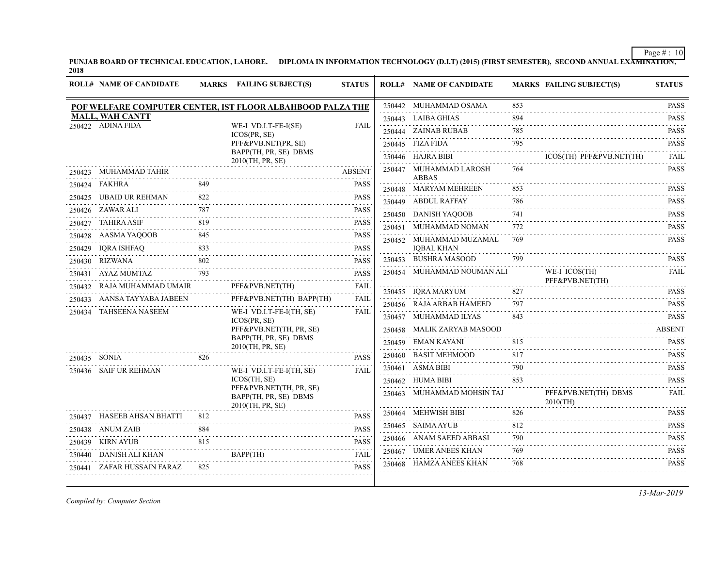PUNJAB BOARD OF TECHNICAL EDUCATION, LAHORE. DIPLOMA IN INFORMATION TECHNOLOGY (D.I.T) (2015) (FIRST SEMESTER), SECOND ANNUAL EXA<del>MINATION,</del><br>2018

|              | <b>ROLL# NAME OF CANDIDATE</b> |     | MARKS FAILING SUBJECT(S)                                             | <b>STATUS</b>    | <b>ROLL# NAME OF CANDIDATE</b>         |          | <b>MARKS FAILING SUBJECT(S)</b>     | <b>STATUS</b>                                            |
|--------------|--------------------------------|-----|----------------------------------------------------------------------|------------------|----------------------------------------|----------|-------------------------------------|----------------------------------------------------------|
|              |                                |     | POF WELFARE COMPUTER CENTER, IST FLOOR ALBAHBOOD PALZA THE           |                  | 250442 MUHAMMAD OSAMA                  | 853      |                                     | <b>PASS</b>                                              |
|              | <b>MALL, WAH CANTT</b>         |     |                                                                      |                  | 250443 LAIBA GHIAS                     | 894      |                                     | د د د د د د<br><b>PASS</b>                               |
|              | 250422 ADINA FIDA              |     | WE-I VD.I.T-FE-I(SE)<br>ICOS(PR, SE)                                 | FAIL             | 250444 ZAINAB RUBAB                    | 785      |                                     | 1.1.1.1.1.1<br><b>PASS</b>                               |
|              |                                |     | PFF&PVB.NET(PR, SE)                                                  |                  | 250445 FIZA FIDA                       | 795      |                                     | <b>PASS</b>                                              |
|              |                                |     | BAPP(TH, PR, SE) DBMS<br>2010(TH, PR, SE)                            |                  | 250446 HAJRA BIBI                      |          | ICOS(TH) PFF&PVB.NET(TH)            | .<br><b>FAIL</b>                                         |
|              | 250423 MUHAMMAD TAHIR          |     |                                                                      | <b>ABSENT</b>    | 250447 MUHAMMAD LAROSH<br><b>ABBAS</b> | 764      |                                     | <b>PASS</b>                                              |
|              | 250424 FAKHRA                  | 849 |                                                                      | <b>PASS</b>      | 250448 MARYAM MEHREEN                  | 853      |                                     | .<br><b>PASS</b>                                         |
|              | 250425 UBAID UR REHMAN         | 822 |                                                                      | <b>PASS</b>      | 250449 ABDUL RAFFAY                    | 786      |                                     | <b>PASS</b>                                              |
|              | 250426 ZAWAR ALI               |     |                                                                      | <b>PASS</b>      | 250450 DANISH YAQOOB                   | 741      |                                     | <b>PASS</b>                                              |
|              | 250427 TAHIRA ASIF             | 819 |                                                                      | <b>PASS</b>      | 250451 MUHAMMAD NOMAN                  | 772      |                                     | .<br><b>PASS</b>                                         |
|              | 250428 AASMA YAQOOB            | 845 |                                                                      | <b>PASS</b>      | 250452 MUHAMMAD MUZAMAL                | 769      |                                     | $\sim$ $\sim$ $\sim$ $\sim$ $\sim$ $\sim$<br><b>PASS</b> |
|              | 250429 IQRA ISHFAQ             | 833 |                                                                      | <b>PASS</b>      | <b>IOBAL KHAN</b>                      |          |                                     |                                                          |
|              | 250430 RIZWANA                 | 802 |                                                                      | <b>PASS</b>      | 250453 BUSHRA MASOOD                   |          |                                     | <b>PASS</b>                                              |
| 250431       | AYAZ MUMTAZ                    | 793 |                                                                      | <b>PASS</b><br>. | 250454 MUHAMMAD NOUMAN ALI             |          | WE-I ICOS(TH)<br>PFF&PVB.NET(TH)    | FAIL                                                     |
|              | 250432 RAJA MUHAMMAD UMAIR     |     | PFF&PVB.NET(TH)                                                      | FAIL             | 250455 IQRA MARYUM                     | 827      |                                     | <b>PASS</b>                                              |
|              | 250433 AANSA TAYYABA JABEEN    |     | PFF&PVB.NET(TH) BAPP(TH)                                             | FAIL             | 250456 RAJA ARBAB HAMEED               | 797      |                                     | <b>PASS</b>                                              |
|              | 250434 TAHSEENA NASEEM         |     | WE-I VD.I.T-FE-I(TH, SE)                                             | <b>FAIL</b>      | 250457 MUHAMMAD ILYAS                  | 843      |                                     | <b>PASS</b>                                              |
|              |                                |     | ICOS(PR, SE)<br>PFF&PVB.NET(TH, PR, SE)                              |                  | 250458 MALIK ZARYAB MASOOD             |          |                                     | <b>ABSENT</b>                                            |
|              |                                |     | BAPP(TH, PR, SE) DBMS                                                |                  | 250459 EMAN KAYANI                     | 815      |                                     | <b>PASS</b>                                              |
| 250435 SONIA |                                | 826 | 2010(TH, PR, SE)                                                     | <b>PASS</b>      | 250460 BASIT MEHMOOD                   | 817      |                                     | <b>PASS</b>                                              |
|              | 250436 SAIF UR REHMAN          |     | WE-I VD.I.T-FE-I(TH, SE)                                             | FAIL             | 250461 ASMA BIBI                       | 790      |                                     | .<br><b>PASS</b>                                         |
|              |                                |     | ICOS(TH, SE)                                                         |                  | $250462$ HUMA BIBI                     | 853      |                                     | .<br><b>PASS</b>                                         |
|              |                                |     | PFF&PVB.NET(TH, PR, SE)<br>BAPP(TH, PR, SE) DBMS<br>2010(TH, PR, SE) |                  | 250463 MUHAMMAD MOHSIN TAJ             |          | PFF&PVB.NET(TH) DBMS<br>$2010$ (TH) | FAIL.                                                    |
|              | 250437 HASEEB AHSAN BHATTI     | 812 |                                                                      | PASS             | 250464 MEHWISH BIBI                    | 826      |                                     | .<br><b>PASS</b>                                         |
|              | 250438 ANUM ZAIB               | 884 |                                                                      | <b>PASS</b>      | 250465 SAIMA AYUB                      | 812      |                                     | <b>PASS</b><br>2.12.2.1                                  |
|              | 250439 KIRN AYUB               | 815 |                                                                      | <b>PASS</b>      | 250466 ANAM SAEED ABBASI               | 790<br>. |                                     | <b>PASS</b>                                              |
|              |                                |     | I AYUB 815<br>BAPP(TH)                                               | .<br>FAIL        | 250467 UMER ANEES KHAN                 | 769      |                                     | <b>PASS</b>                                              |
|              | 250441 ZAFAR HUSSAIN FARAZ     | 825 |                                                                      | <b>PASS</b>      | 250468 HAMZA ANEES KHAN                | 768      |                                     | <b>PASS</b>                                              |
|              | 250440 DANISH ALI KHAN         |     |                                                                      |                  |                                        |          |                                     |                                                          |

*Compiled by: Computer Section*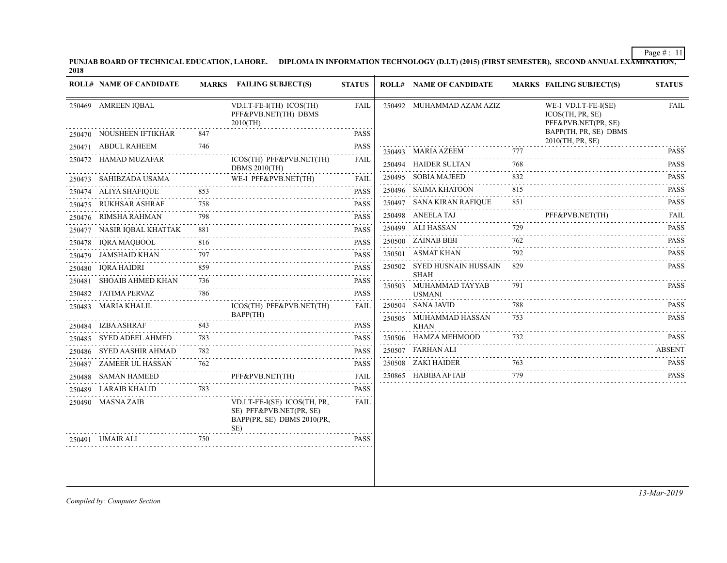PUNJAB BOARD OF TECHNICAL EDUCATION, LAHORE. DIPLOMA IN INFORMATION TECHNOLOGY (D.I.T) (2015) (FIRST SEMESTER), SECOND ANNUAL EXA<del>MINATION,</del><br>2018

|        | <b>ROLL# NAME OF CANDIDATE</b> |     | MARKS FAILING SUBJECT(S)                                                                     | <b>STATUS</b> |        | <b>ROLL# NAME OF CANDIDATE</b>             |     | <b>MARKS FAILING SUBJECT(S)</b>                                 | <b>STATUS</b>                                                                                                                                                                                                                                                                                                                                                                                                                                                                                         |
|--------|--------------------------------|-----|----------------------------------------------------------------------------------------------|---------------|--------|--------------------------------------------|-----|-----------------------------------------------------------------|-------------------------------------------------------------------------------------------------------------------------------------------------------------------------------------------------------------------------------------------------------------------------------------------------------------------------------------------------------------------------------------------------------------------------------------------------------------------------------------------------------|
|        | 250469 AMREEN IQBAL            |     | VD.I.T-FE-I(TH) ICOS(TH)<br>PFF&PVB.NET(TH) DBMS<br>$2010$ (TH)                              | <b>FAIL</b>   |        | 250492 MUHAMMAD AZAM AZIZ                  |     | WE-I VD.I.T-FE-I(SE)<br>ICOS(TH, PR, SE)<br>PFF&PVB.NET(PR, SE) | <b>FAIL</b>                                                                                                                                                                                                                                                                                                                                                                                                                                                                                           |
|        | 250470 NOUSHEEN IFTIKHAR       | 847 |                                                                                              | <b>PASS</b>   |        |                                            |     | BAPP(TH, PR, SE) DBMS<br>2010(TH, PR, SE)                       |                                                                                                                                                                                                                                                                                                                                                                                                                                                                                                       |
|        | 250471 ABDUL RAHEEM            | 746 |                                                                                              | <b>PASS</b>   |        | 250493 MARIA AZEEM                         | 777 |                                                                 | <b>PASS</b>                                                                                                                                                                                                                                                                                                                                                                                                                                                                                           |
|        | 250472 HAMAD MUZAFAR           |     | ICOS(TH) PFF&PVB.NET(TH)<br><b>DBMS 2010(TH)</b>                                             | <b>FAIL</b>   |        | 250494 HAIDER SULTAN                       | 768 |                                                                 | $\alpha$ is a second<br><b>PASS</b><br>$\alpha$ is a single                                                                                                                                                                                                                                                                                                                                                                                                                                           |
|        | 250473 SAHIBZADA USAMA         |     | WE-I PFF&PVB.NET(TH)                                                                         | FAIL          | 250495 | <b>SOBIA MAJEED</b>                        | 832 |                                                                 | <b>PASS</b><br>.                                                                                                                                                                                                                                                                                                                                                                                                                                                                                      |
|        | 250474 ALIYA SHAFIQUE          | 853 |                                                                                              | <b>PASS</b>   |        | 250496 SAIMA KHATOON                       | 815 |                                                                 | <b>PASS</b><br>$\mathcal{L}^{\mathcal{A}}\left( \mathcal{A}\right) \mathcal{L}^{\mathcal{A}}\left( \mathcal{A}\right) \mathcal{L}^{\mathcal{A}}\left( \mathcal{A}\right) \mathcal{A}^{\mathcal{A}}\left( \mathcal{A}\right) \mathcal{A}^{\mathcal{A}}\left( \mathcal{A}\right) \mathcal{A}^{\mathcal{A}}\left( \mathcal{A}\right) \mathcal{A}^{\mathcal{A}}\left( \mathcal{A}\right) \mathcal{A}^{\mathcal{A}}\left( \mathcal{A}\right) \mathcal{A}^{\mathcal{A}}\left( \mathcal{A}\right) \mathcal{$ |
|        | 250475 RUKHSAR ASHRAF          | 758 |                                                                                              | <b>PASS</b>   |        | 250497 SANA KIRAN RAFIQUE                  | 851 |                                                                 | <b>PASS</b><br>.                                                                                                                                                                                                                                                                                                                                                                                                                                                                                      |
|        | 250476 RIMSHA RAHMAN           | 798 |                                                                                              | <b>PASS</b>   |        | 250498 ANEELA TAJ                          |     | PFF&PVB.NET(TH)                                                 | FAIL<br>$\alpha$ is a second set of $\alpha$                                                                                                                                                                                                                                                                                                                                                                                                                                                          |
|        | 250477 NASIR IQBAL KHATTAK     | 881 |                                                                                              | <b>PASS</b>   |        | 250499 ALI HASSAN                          | 729 |                                                                 | <b>PASS</b><br>.                                                                                                                                                                                                                                                                                                                                                                                                                                                                                      |
|        | 250478 IQRA MAQBOOL            | 816 |                                                                                              | <b>PASS</b>   |        | 250500 ZAINAB BIBI                         | 762 |                                                                 | <b>PASS</b>                                                                                                                                                                                                                                                                                                                                                                                                                                                                                           |
|        | 250479 JAMSHAID KHAN           | 797 |                                                                                              | <b>PASS</b>   |        | 250501 ASMAT KHAN                          | 792 |                                                                 | <b>PASS</b><br>$- - - - - -$                                                                                                                                                                                                                                                                                                                                                                                                                                                                          |
|        | 250480 IQRA HAIDRI             | 859 |                                                                                              | <b>PASS</b>   |        | 250502 SYED HUSNAIN HUSSAIN<br><b>SHAH</b> | 829 |                                                                 | <b>PASS</b>                                                                                                                                                                                                                                                                                                                                                                                                                                                                                           |
| 250481 | <b>SHOAIB AHMED KHAN</b>       | 736 |                                                                                              | <b>PASS</b>   |        | 250503 MUHAMMAD TAYYAB                     | 791 |                                                                 | <b>PASS</b>                                                                                                                                                                                                                                                                                                                                                                                                                                                                                           |
|        | 250482 FATIMA PERVAZ           | 786 |                                                                                              | <b>PASS</b>   |        | <b>USMANI</b>                              |     |                                                                 |                                                                                                                                                                                                                                                                                                                                                                                                                                                                                                       |
|        | 250483 MARIA KHALIL            |     | ICOS(TH) PFF&PVB.NET(TH)                                                                     | <b>FAIL</b>   |        | 250504 SANA JAVID                          | 788 |                                                                 | <b>PASS</b>                                                                                                                                                                                                                                                                                                                                                                                                                                                                                           |
|        | 250484 IZBA ASHRAF             | 843 | BAPP(TH)                                                                                     | <b>PASS</b>   |        | 250505 MUHAMMAD HASSAN<br><b>KHAN</b>      | 753 |                                                                 | <b>PASS</b>                                                                                                                                                                                                                                                                                                                                                                                                                                                                                           |
| 250485 | <b>SYED ADEEL AHMED</b>        | 783 |                                                                                              | <b>PASS</b>   |        | 250506 HAMZA MEHMOOD                       | 732 |                                                                 | PASS                                                                                                                                                                                                                                                                                                                                                                                                                                                                                                  |
|        | 250486 SYED AASHIR AHMAD       | 782 |                                                                                              | <b>PASS</b>   |        | 250507 FARHAN ALI                          |     |                                                                 | <b>ABSENT</b>                                                                                                                                                                                                                                                                                                                                                                                                                                                                                         |
|        | 250487 ZAMEER UL HASSAN        | 762 |                                                                                              | <b>PASS</b>   |        | 250508 ZAKI HAIDER                         | 763 |                                                                 | <b>PASS</b>                                                                                                                                                                                                                                                                                                                                                                                                                                                                                           |
|        | 250488 SAMAN HAMEED            |     | PFF&PVB.NET(TH)                                                                              | FAIL          |        | 250865 HABIBA AFTAB                        | 779 |                                                                 | <b>PASS</b>                                                                                                                                                                                                                                                                                                                                                                                                                                                                                           |
|        | 250489 LARAIB KHALID           | 783 |                                                                                              | <b>PASS</b>   |        |                                            |     |                                                                 |                                                                                                                                                                                                                                                                                                                                                                                                                                                                                                       |
|        | 250490 MASNA ZAIB              |     | VD.I.T-FE-I(SE) ICOS(TH, PR.<br>SE) PFF&PVB.NET(PR, SE)<br>BAPP(PR, SE) DBMS 2010(PR,<br>SE) | <b>FAIL</b>   |        |                                            |     |                                                                 |                                                                                                                                                                                                                                                                                                                                                                                                                                                                                                       |
|        | 250491 UMAIR ALI               | 750 |                                                                                              | <b>PASS</b>   |        |                                            |     |                                                                 |                                                                                                                                                                                                                                                                                                                                                                                                                                                                                                       |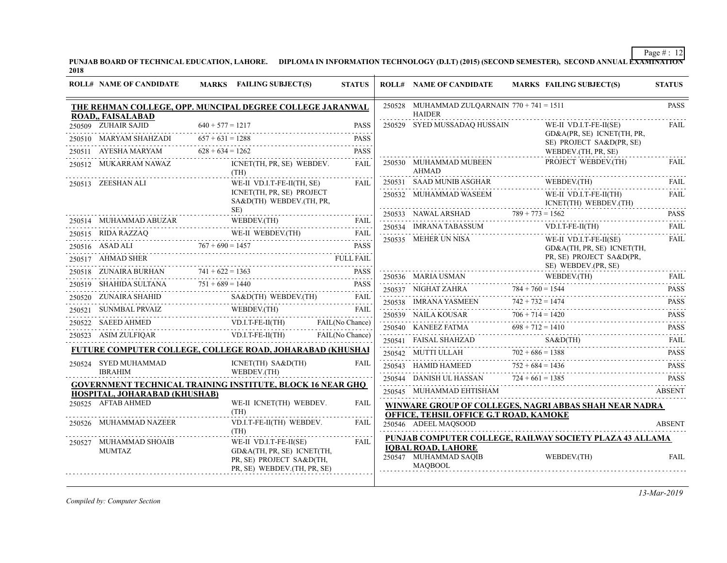PUNJAB BOARD OF TECHNICAL EDUCATION, LAHORE. DIPLOMA IN INFORMATION TECHNOLOGY (D.I.T) (2015) (SECOND SEMESTER), SECOND ANNUAL EXAMINATION'<br>2018

|        | <b>ROLL# NAME OF CANDIDATE</b>                      | MARKS FAILING SUBJECT(S)                                                                                                                                                                                                                                                                                                                             | <b>STATUS</b>   | <b>ROLL# NAME OF CANDIDATE</b>                                                                                                                                                                                                                                                                                                                                                                                                                                     |                    | <b>MARKS FAILING SUBJECT(S)</b>                          | <b>STATUS</b>           |
|--------|-----------------------------------------------------|------------------------------------------------------------------------------------------------------------------------------------------------------------------------------------------------------------------------------------------------------------------------------------------------------------------------------------------------------|-----------------|--------------------------------------------------------------------------------------------------------------------------------------------------------------------------------------------------------------------------------------------------------------------------------------------------------------------------------------------------------------------------------------------------------------------------------------------------------------------|--------------------|----------------------------------------------------------|-------------------------|
|        | ROAD,, FAISALABAD                                   | THE REHMAN COLLEGE, OPP. MUNCIPAL DEGREE COLLEGE JARANWAL                                                                                                                                                                                                                                                                                            |                 | 250528 MUHAMMAD ZULQARNAIN $770 + 741 = 1511$<br><b>HAIDER</b>                                                                                                                                                                                                                                                                                                                                                                                                     |                    |                                                          | <b>PASS</b>             |
|        | 250509 ZUHAIR SAJID                                 | $640 + 577 = 1217$                                                                                                                                                                                                                                                                                                                                   | <b>PASS</b>     | 250529 SYED MUSSADAQ HUSSAIN                                                                                                                                                                                                                                                                                                                                                                                                                                       |                    | WE-II VD.I.T-FE-II(SE)                                   | FAIL                    |
|        | 250510 MARYAM SHAHZADI                              | $657 + 631 = 1288$                                                                                                                                                                                                                                                                                                                                   | <b>PASS</b>     |                                                                                                                                                                                                                                                                                                                                                                                                                                                                    |                    | GD&A(PR, SE) ICNET(TH, PR,<br>SE) PROJECT SA&D(PR, SE)   |                         |
| 250511 | AYESHA MARYAM                                       | $628 + 634 = 1262$                                                                                                                                                                                                                                                                                                                                   | <b>PASS</b>     |                                                                                                                                                                                                                                                                                                                                                                                                                                                                    |                    | WEBDEV.(TH, PR, SE)                                      |                         |
|        | 250512 MUKARRAM NAWAZ                               | ICNET(TH, PR, SE) WEBDEV.<br>(TH)                                                                                                                                                                                                                                                                                                                    | FAIL            | 250530 MUHAMMAD MUBEEN<br><b>AHMAD</b>                                                                                                                                                                                                                                                                                                                                                                                                                             |                    | PROJECT WEBDEV.(TH)                                      | FAIL                    |
|        | 250513 ZEESHAN ALI                                  | WE-II VD.I.T-FE-II(TH, SE)                                                                                                                                                                                                                                                                                                                           | FAII.           | 250531 SAAD MUNIB ASGHAR                                                                                                                                                                                                                                                                                                                                                                                                                                           |                    | WEBDEV.(TH)                                              | FAIL<br>.               |
|        |                                                     | ICNET(TH, PR, SE) PROJECT<br>SA&D(TH) WEBDEV.(TH, PR,                                                                                                                                                                                                                                                                                                |                 | $\begin{tabular}{cc} 250532 & MUHAMMAD WASEEM & & V\\ & \multicolumn{2}{c}{\textbf{1}} & & \multicolumn{2}{c}{\textbf{1}}\\ \multicolumn{2}{c}{\textbf{2}} & \multicolumn{2}{c}{\textbf{2}} & \multicolumn{2}{c}{\textbf{3}}\\ \multicolumn{2}{c}{\textbf{4}} & \multicolumn{2}{c}{\textbf{5}} & \multicolumn{2}{c}{\textbf{6}}\\ \multicolumn{2}{c}{\textbf{5}} & \multicolumn{2}{c}{\textbf{6}} & \multicolumn{2}{c}{\textbf{7}}\\ \multicolumn{2}{c}{\textbf{6$ |                    | WE-II VD.I.T-FE-II(TH)<br>ICNET(TH) WEBDEV.(TH)          | <b>FAIL</b>             |
|        |                                                     | $SE$ )<br>WEBDEV.(TH)                                                                                                                                                                                                                                                                                                                                |                 |                                                                                                                                                                                                                                                                                                                                                                                                                                                                    |                    | 250533 NAWAL ARSHAD $789 + 773 = 1562$                   | <b>PASS</b><br><u>.</u> |
|        | 250515 RIDA RAZZAQ                                  | 250514 MUHAMMAD ABUZAR WEBDEV.(TH) FAIL                                                                                                                                                                                                                                                                                                              | FAIL            | 250534 IMRANA TABASSUM                                                                                                                                                                                                                                                                                                                                                                                                                                             |                    | $VD.I.T-FE-II(TH)$                                       | <b>FAIL</b>             |
|        |                                                     | RAZZAQ WE-II WEBDEV.(TH) FAIL<br>250516 ASAD ALI $767 + 690 = 1457$ PASS                                                                                                                                                                                                                                                                             |                 | 250535 MEHER UN NISA                                                                                                                                                                                                                                                                                                                                                                                                                                               |                    | WE-II VD.I.T-FE-II(SE)<br>GD&A(TH, PR, SE) ICNET(TH,     | FAIL                    |
|        | 250517 AHMAD SHER                                   |                                                                                                                                                                                                                                                                                                                                                      |                 |                                                                                                                                                                                                                                                                                                                                                                                                                                                                    |                    | PR, SE) PROJECT SA&D(PR,                                 |                         |
|        | 250518 ZUNAIRA BURHAN $741 + 622 = 1363$            |                                                                                                                                                                                                                                                                                                                                                      | <b>PASS</b>     |                                                                                                                                                                                                                                                                                                                                                                                                                                                                    |                    | SE) WEBDEV.(PR, SE)                                      |                         |
|        |                                                     |                                                                                                                                                                                                                                                                                                                                                      | <b>PASS</b>     |                                                                                                                                                                                                                                                                                                                                                                                                                                                                    |                    | 250536 MARIA USMAN WEBDEV.(TH) FAIL                      |                         |
|        |                                                     | $\begin{tabular}{lllllllll} \multicolumn{2}{c}{250519}&SHAHIDA \: \text{SULTANA} & \: \: \: 751 + 689 = 1440 & \: \: \text{PASS} \\ \multicolumn{2}{c}{250520}& \: \: \text{ZUNAIRA SHAHID} & \: \: \text{SAED(TH)} & \: \text{WEBDEV(TH)} & \: \: \text{FAIL} \\ \multicolumn{2}{c}{\text{S0520}} & \: \: \text{ZUNAIRA SHAHID} & \: \end{tabular}$ |                 |                                                                                                                                                                                                                                                                                                                                                                                                                                                                    |                    | 250537 NIGHAT ZAHRA $784 + 760 = 1544$ PASS              |                         |
|        | 250521 SUNMBAL PRVAIZ                               | WEBDEV.(TH)                                                                                                                                                                                                                                                                                                                                          | <b>FAIL</b>     |                                                                                                                                                                                                                                                                                                                                                                                                                                                                    |                    |                                                          |                         |
|        |                                                     | 250522 SAEED AHMED VD.I.T-FE-II(TH)                                                                                                                                                                                                                                                                                                                  | FAIL(No Chance) |                                                                                                                                                                                                                                                                                                                                                                                                                                                                    |                    | 250539 NAILA KOUSAR $706 + 714 = 1420$                   | .                       |
|        | 250523 ASIM ZULFIQAR                                | ASIM ZULFIQAR VD.I.T-FE-II(TH) FAIL(No Chance)                                                                                                                                                                                                                                                                                                       |                 |                                                                                                                                                                                                                                                                                                                                                                                                                                                                    |                    | 250540 KANEEZ FATMA $698 + 712 = 1410$ PASS              |                         |
|        |                                                     | FUTURE COMPUTER COLLEGE, COLLEGE ROAD, JOHARABAD (KHUSHAI                                                                                                                                                                                                                                                                                            |                 |                                                                                                                                                                                                                                                                                                                                                                                                                                                                    |                    |                                                          |                         |
|        | 250524 SYED MUHAMMAD                                | ICNET(TH) SA&D(TH)                                                                                                                                                                                                                                                                                                                                   | FAIL            |                                                                                                                                                                                                                                                                                                                                                                                                                                                                    |                    |                                                          | .                       |
|        | <b>IBRAHIM</b>                                      | WEBDEV.(TH)                                                                                                                                                                                                                                                                                                                                          |                 | 250544 DANISH UL HASSAN                                                                                                                                                                                                                                                                                                                                                                                                                                            | $724 + 661 = 1385$ | 250543 HAMID HAMEED $752 + 684 = 1436$ PASS PASS         | <b>PASS</b>             |
|        |                                                     | <b>GOVERNMENT TECHNICAL TRAINING INSTITUTE, BLOCK 16 NEAR GHQ</b>                                                                                                                                                                                                                                                                                    |                 | 250545 MUHAMMAD EHTISHAM                                                                                                                                                                                                                                                                                                                                                                                                                                           |                    | UL HASSAN 724 + 661 = 1385 PASS                          | <b>ABSENT</b>           |
|        | HOSPITAL, JOHARABAD (KHUSHAB)<br>250525 AFTAB AHMED | WE-II ICNET(TH) WEBDEV.                                                                                                                                                                                                                                                                                                                              | FAIL            |                                                                                                                                                                                                                                                                                                                                                                                                                                                                    |                    |                                                          |                         |
|        |                                                     | (TH)                                                                                                                                                                                                                                                                                                                                                 |                 | <b>OFFICE, TEHSIL OFFICE G.T ROAD, KAMOKE</b>                                                                                                                                                                                                                                                                                                                                                                                                                      |                    | WINWARE GROUP OF COLLEGES, NAGRI ABBAS SHAH NEAR NADRA   |                         |
|        | 250526 MUHAMMAD NAZEER                              | VD.I.T-FE-II(TH) WEBDEV.<br>(TH)                                                                                                                                                                                                                                                                                                                     | FAIL            | 250546 ADEEL MAQSOOD                                                                                                                                                                                                                                                                                                                                                                                                                                               |                    |                                                          | <b>ABSENT</b>           |
|        | 250527 MUHAMMAD SHOAIB                              | WE-II VD.I.T-FE-II(SE)                                                                                                                                                                                                                                                                                                                               | <b>FAIL</b>     |                                                                                                                                                                                                                                                                                                                                                                                                                                                                    |                    | PUNJAB COMPUTER COLLEGE, RAILWAY SOCIETY PLAZA 43 ALLAMA |                         |
|        | MUMTAZ                                              | GD&A(TH, PR, SE) ICNET(TH,<br>PR, SE) PROJECT SA&D(TH,<br>PR, SE) WEBDEV. (TH, PR, SE)                                                                                                                                                                                                                                                               |                 | <b>IQBAL ROAD, LAHORE</b><br>250547 MUHAMMAD SAQIB<br><b>MAOBOOL</b>                                                                                                                                                                                                                                                                                                                                                                                               |                    | WEBDEV.(TH)                                              | <b>FAIL</b>             |

*Compiled by: Computer Section*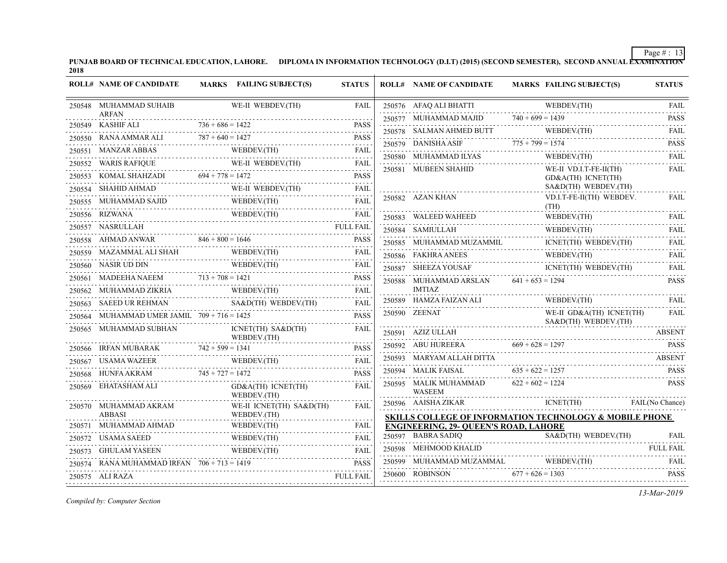PUNJAB BOARD OF TECHNICAL EDUCATION, LAHORE. DIPLOMA IN INFORMATION TECHNOLOGY (D.I.T) (2015) (SECOND SEMESTER), SECOND ANNUAL EXAMINATION'<br>2018

| <b>ROLL# NAME OF CANDIDATE</b>                | MARKS FAILING SUBJECT(S)                                                                                                                                                                                                                                                                                                                                                                                                                   | <b>STATUS</b>    | <b>ROLL# NAME OF CANDIDATE</b>                                     | <b>MARKS FAILING SUBJECT(S)</b>                                                                                                                                                                                                                                                                                                                                                                                                                                      | <b>STATUS</b>    |
|-----------------------------------------------|--------------------------------------------------------------------------------------------------------------------------------------------------------------------------------------------------------------------------------------------------------------------------------------------------------------------------------------------------------------------------------------------------------------------------------------------|------------------|--------------------------------------------------------------------|----------------------------------------------------------------------------------------------------------------------------------------------------------------------------------------------------------------------------------------------------------------------------------------------------------------------------------------------------------------------------------------------------------------------------------------------------------------------|------------------|
| 250548 MUHAMMAD SUHAIB                        | WE-II WEBDEV.(TH)                                                                                                                                                                                                                                                                                                                                                                                                                          | FAIL             |                                                                    | ${\bf 250576\quad AFAQ ALI BHATTI\qquad \qquad {\bf WEBDEV (TH)\qquad \qquad FAIL}$                                                                                                                                                                                                                                                                                                                                                                                  |                  |
| <b>ARFAN</b>                                  | $1$ $736 + 686 = 1422$ PASS                                                                                                                                                                                                                                                                                                                                                                                                                |                  |                                                                    | $740 + 699 = 1439$ PASS<br>250577 MUHAMMAD MAJID 740 + 699 = 1439 PASS                                                                                                                                                                                                                                                                                                                                                                                               |                  |
| 250549 KASHIF ALI                             | $I$ $736 + 686 = 1422$ PASS                                                                                                                                                                                                                                                                                                                                                                                                                | <b>PASS</b>      |                                                                    | ${\small \begin{tabular}{ll} \bf 250578 & \bf SALMAN AHMED BUTT & \bf WEBDEV (TH) \\ \hline \end{tabular}}$                                                                                                                                                                                                                                                                                                                                                          | <b>FAIL</b><br>. |
|                                               | 250550 RANA AMMAR ALI $787 + 640 = 1427$ PASS                                                                                                                                                                                                                                                                                                                                                                                              |                  |                                                                    | 250579 DANISHA ASIF $775 + 799 = 1574$ PASS                                                                                                                                                                                                                                                                                                                                                                                                                          |                  |
|                                               |                                                                                                                                                                                                                                                                                                                                                                                                                                            |                  |                                                                    | $\begin{tabular}{lllllllll} \multicolumn{2}{l}{{\bf 250580}} & {\bf MUHAMMAD ILYAS} & & {\bf WEBDEV.(TH)} & \multicolumn{2}{l}{{\bf FAIL}} \\ \multicolumn{2}{l}{\bf 250580} & {\bf MUHAMMAD ILYAS} & & {\bf WEBDEV.(TH)} & & {\bf FAIL} \\ \end{tabular}$                                                                                                                                                                                                           |                  |
|                                               |                                                                                                                                                                                                                                                                                                                                                                                                                                            |                  | 250581 MUBEEN SHAHID                                               | WE-II VD.I.T-FE-II(TH)                                                                                                                                                                                                                                                                                                                                                                                                                                               | FAIL             |
|                                               | $\begin{tabular}{llllllll} \multicolumn{2}{c l}{{\text{\emph{250551}}}}&{\text{\emph{MANZAR ABBAS}}}&{\text{\emph{WEBDEV}}(TH)}&{\text{\emph{FAL}}} \\ \hline {\text{\emph{250552}}}&{\text{\emph{WARIS RAFIQUE}}}&{\text{\emph{WE-II WEBDEV}}(TH)}&{\text{\emph{FAL}}} \\ \hline {\text{\emph{250553}}}&{\text{\emph{KOMAL SHAHZADI}}}&{\text{\emph{694 + 778 = 1472}}}&{\text{\emph{PASS}}} \\ \hline {\text{\emph{250554}}}&{\text{\em$ |                  |                                                                    | GD&A(TH) ICNET(TH)<br>$SAB(TH)$ WEBDEV. (TH)                                                                                                                                                                                                                                                                                                                                                                                                                         |                  |
|                                               |                                                                                                                                                                                                                                                                                                                                                                                                                                            |                  | 250582 AZAN KHAN                                                   | VD.I.T-FE-II(TH) WEBDEV.                                                                                                                                                                                                                                                                                                                                                                                                                                             | FAIL             |
| 250555 MUHAMMAD SAJID                         | WEBDEV.(TH)<br>MUHAMMAD SAJID WEBDEV.(TH) FAIL                                                                                                                                                                                                                                                                                                                                                                                             |                  |                                                                    | (TH)                                                                                                                                                                                                                                                                                                                                                                                                                                                                 |                  |
| 250556 RIZWANA                                | VA WEBDEV.(TH) FAIL                                                                                                                                                                                                                                                                                                                                                                                                                        |                  | 250583 WALEED WAHEED                                               | $\begin{tabular}{lllllllllll} \multicolumn{2}{c}{\textbf{\textcolor{blue}{250583}}}&\textbf{WALEED WAHEED} &\textbf{WEBDEV (TH)} & \textbf{FAIL} \\ \multicolumn{2}{c}{\textbf{\textcolor{blue}{250583}}}&\textbf{WALEED WAHEED} & \textbf{WEBDEV (TH)} & \textbf{FAIL} \\ \multicolumn{2}{c}{\textbf{\textcolor{blue}{250583}}}&\textbf{WALEED WAHEED} & \textbf{WABEDV (TH)} & \textbf{FAIL} \\ \multicolumn{2}{c}{\textbf{\textcolor{blue}{250583}}}&\textbf{WAL$ |                  |
|                                               |                                                                                                                                                                                                                                                                                                                                                                                                                                            |                  | H<br>**************************<br>250584 SAMIULLAH                | $\begin{minipage}{0.9\linewidth} \textbf{WEBDEV(TH)} \end{minipage}$                                                                                                                                                                                                                                                                                                                                                                                                 | FAIL             |
|                                               |                                                                                                                                                                                                                                                                                                                                                                                                                                            |                  | 250585 MUHAMMAD MUZAMMIL                                           | $\begin{tabular}{l} \multicolumn{2}{l}{ICNET(TH)} \quad \text{WEBDEV(TH)}\\ \multicolumn{2}{l}{\text{WEBDEV(TH)}}\\ \multicolumn{2}{l}{\text{WEBDEV(TH)}}\\ \end{tabular}$                                                                                                                                                                                                                                                                                           | <b>FAIL</b>      |
|                                               | 250559 MAZAMMAL ALI SHAH WEBDEV(TH) FAIL FAIL                                                                                                                                                                                                                                                                                                                                                                                              |                  | 250586 FAKHRA ANEES                                                | 250586 FAKHRA ANEES WEBDEV.(TH) FAIL                                                                                                                                                                                                                                                                                                                                                                                                                                 |                  |
|                                               | 250560 NASIR UD DIN WEBDEV (TH)<br>250561 MADEEHA NAEEM 713 + 708 = 1421                                                                                                                                                                                                                                                                                                                                                                   | FAIL             |                                                                    | ICNET(TH) WEBDEV.(TH)                                                                                                                                                                                                                                                                                                                                                                                                                                                | FAIL             |
|                                               |                                                                                                                                                                                                                                                                                                                                                                                                                                            | <b>PASS</b>      | $250588$ MUHAMMAD ARSLAN $641 + 653 = 1294$                        |                                                                                                                                                                                                                                                                                                                                                                                                                                                                      | <b>PASS</b>      |
|                                               |                                                                                                                                                                                                                                                                                                                                                                                                                                            |                  | IMTIAZ                                                             |                                                                                                                                                                                                                                                                                                                                                                                                                                                                      |                  |
|                                               | 250563 SAEED UR REHMAN SA&D(TH) WEBDEV(TH) FAIL                                                                                                                                                                                                                                                                                                                                                                                            | FAIL             | 250589 HAMZA FAIZAN ALI                                            | WEBDEV.(TH) FAIL                                                                                                                                                                                                                                                                                                                                                                                                                                                     |                  |
| 250564 MUHAMMAD UMER JAMIL 709 + 716 = 1425   |                                                                                                                                                                                                                                                                                                                                                                                                                                            | <b>PASS</b>      | 250590 ZEENAT                                                      | WE-II GD&A(TH) ICNET(TH)<br>SA&D(TH) WEBDEV.(TH)                                                                                                                                                                                                                                                                                                                                                                                                                     | FAIL             |
|                                               | 250565 MUHAMMAD SUBHAN ICNET(TH) SA&D(TH) FAIL WEBDEV.<br>250566 IRFAN MUBARAK 742 + 599 = 1341 PASS                                                                                                                                                                                                                                                                                                                                       | FAIL             | 250591 AZIZ ULLAH                                                  |                                                                                                                                                                                                                                                                                                                                                                                                                                                                      | <b>ABSENT</b>    |
|                                               |                                                                                                                                                                                                                                                                                                                                                                                                                                            | <b>PASS</b>      |                                                                    | 250592 ABU HUREERA $669 + 628 = 1297$ PASS                                                                                                                                                                                                                                                                                                                                                                                                                           |                  |
|                                               | 250567 USAMA WAZEER WEBDEV.(TH) FAIL                                                                                                                                                                                                                                                                                                                                                                                                       |                  | 250593 MARYAM ALLAH DITTA                                          |                                                                                                                                                                                                                                                                                                                                                                                                                                                                      | ABSENT           |
|                                               | 250568 HUNFA AKRAM $745 + 727 = 1472$ PASS                                                                                                                                                                                                                                                                                                                                                                                                 | <b>PASS</b>      | 250594 MALIK FAISAL $635 + 622 = 1257$<br>.                        |                                                                                                                                                                                                                                                                                                                                                                                                                                                                      | <b>PASS</b>      |
| 250569 EHATASHAM ALI                          | $GD&A(TH)$ ICNET(TH)<br>WEBDEV.(TH)                                                                                                                                                                                                                                                                                                                                                                                                        | FAIL             | 250595 MALIK MUHAMMAD $622 + 602 = 1224$<br><b>WASEEM</b>          |                                                                                                                                                                                                                                                                                                                                                                                                                                                                      | <b>PASS</b>      |
| 250570 MUHAMMAD AKRAM VABBASI                 | WE-II ICNET(TH) SA&D(TH)                                                                                                                                                                                                                                                                                                                                                                                                                   | FAIL             |                                                                    | 250596 AAISHA ZIKAR ICNET(TH) FAIL(No Chance)                                                                                                                                                                                                                                                                                                                                                                                                                        |                  |
|                                               | WEBDEV.(TH)                                                                                                                                                                                                                                                                                                                                                                                                                                |                  |                                                                    | <b>SKILLS COLLEGE OF INFORMATION TECHNOLOGY &amp; MOBILE PHONE</b>                                                                                                                                                                                                                                                                                                                                                                                                   |                  |
| 250571 MUHAMMAD AHMAD                         | WEBDEV.(TH)                                                                                                                                                                                                                                                                                                                                                                                                                                |                  | <b>ENGINEERING, 29- QUEEN'S ROAD, LAHORE</b><br>250597 BABRA SADIQ |                                                                                                                                                                                                                                                                                                                                                                                                                                                                      |                  |
|                                               | 250572 USAMA SAEED WEBDEV.(TH) FAIL                                                                                                                                                                                                                                                                                                                                                                                                        |                  | 250598 MEHMOOD KHALID                                              | Q SA&D(TH) WEBDEV.(TH) FAIL                                                                                                                                                                                                                                                                                                                                                                                                                                          |                  |
|                                               | 250573 GHULAM YASEEN WEBDEV(TH) FAIL FAIL                                                                                                                                                                                                                                                                                                                                                                                                  | FAIL             |                                                                    |                                                                                                                                                                                                                                                                                                                                                                                                                                                                      |                  |
| 250574 RANA MUHAMMAD IRFAN $706 + 713 = 1419$ |                                                                                                                                                                                                                                                                                                                                                                                                                                            | <b>PASS</b>      | $250600$ ROBINSON $677 + 626 = 1303$                               | 250599 MUHAMMAD MUZAMMAL WEBDEV.(TH) FAIL RELEASE                                                                                                                                                                                                                                                                                                                                                                                                                    | <b>PASS</b>      |
| 250575 ALI RAZA                               |                                                                                                                                                                                                                                                                                                                                                                                                                                            | <b>FULL FAIL</b> |                                                                    |                                                                                                                                                                                                                                                                                                                                                                                                                                                                      |                  |

*Compiled by: Computer Section*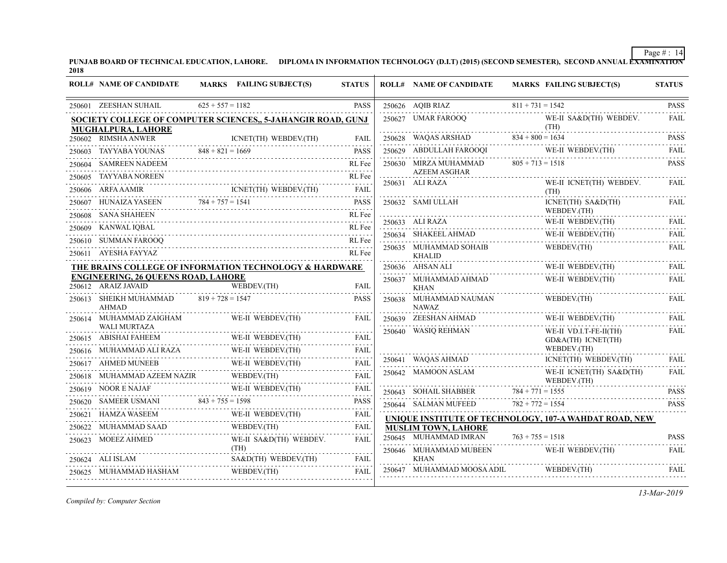PUNJAB BOARD OF TECHNICAL EDUCATION, LAHORE. DIPLOMA IN INFORMATION TECHNOLOGY (D.I.T) (2015) (SECOND SEMESTER), SECOND ANNUAL EXAMINATION'<br>2018

|        | <b>ROLL# NAME OF CANDIDATE</b>                                    | MARKS FAILING SUBJECT(S)                                                      | <b>STATUS</b> | <b>ROLL# NAME OF CANDIDATE</b>                         | <b>MARKS FAILING SUBJECT(S)</b>              | <b>STATUS</b>                                                                                                                    |
|--------|-------------------------------------------------------------------|-------------------------------------------------------------------------------|---------------|--------------------------------------------------------|----------------------------------------------|----------------------------------------------------------------------------------------------------------------------------------|
|        | 250601 ZEESHAN SUHAIL                                             | $625 + 557 = 1182$                                                            | <b>PASS</b>   | 250626 AQIB RIAZ                                       | $811 + 731 = 1542$                           | <b>PASS</b>                                                                                                                      |
|        | MUGHALPURA, LAHORE                                                | SOCIETY COLLEGE OF COMPUTER SCIENCES., 5-JAHANGIR ROAD, GUNJ                  |               | 250627 UMAR FAROOQ                                     | WE-II SA&D(TH) WEBDEV.<br>(TH)               | <b>FAIL</b>                                                                                                                      |
|        | 250602 RIMSHA ANWER                                               | ICNET(TH) WEBDEV.(TH)                                                         | FAIL          | 250628 WAQAS ARSHAD                                    | $834 + 800 = 1634$                           | <b>PASS</b>                                                                                                                      |
| 250603 | TAYYABA YOUNAS $848 + 821 = 1669$                                 |                                                                               | <b>PASS</b>   | 250629 ABDULLAH FAROOQI                                | WE-II WEBDEV.(TH)                            | <b>FAIL</b>                                                                                                                      |
| 250604 | <b>SAMREEN NADEEM</b>                                             |                                                                               | RL Fee        | 250630 MIRZA MUHAMMAD                                  | $805 + 713 = 1518$                           | <b>PASS</b>                                                                                                                      |
| 250605 | <b>TAYYABA NOREEN</b>                                             |                                                                               | RL Fee        | <b>AZEEM ASGHAR</b><br>250631 ALI RAZA                 | WE-II ICNET(TH) WEBDEV.                      | <b>FAIL</b>                                                                                                                      |
|        | 250606 ARFA AAMIR                                                 | AAMIR ICNET(TH) WEBDEV.(TH) FAIL                                              | <b>FAIL</b>   |                                                        | (TH)                                         | .                                                                                                                                |
|        | 250607 HUNAIZA YASEEN                                             | VAIZA YASEEN 784 + 757 = 1541 PASS                                            |               | 250632 SAMI ULLAH                                      | ICNET(TH) SA&D(TH)                           | <b>FAIL</b>                                                                                                                      |
|        | 250608 SANA SHAHEEN                                               |                                                                               | RL Fee        | 250633 ALI RAZA                                        | WEBDEV.(TH)<br>WE-II WEBDEV.(TH)             | <b>FAIL</b>                                                                                                                      |
|        | 250609 KANWAL IQBAL                                               |                                                                               | RL Fee        |                                                        | WE-II WEBDEV.(TH)                            | FAIL                                                                                                                             |
|        | 250610 SUMMAN FAROOQ                                              |                                                                               | RL Fee        | 250634 SHAKEEL AHMAD<br>250635 MUHAMMAD SOHAIB         | WEBDEV.(TH)                                  | <b>FAIL</b>                                                                                                                      |
|        | 250611 AYESHA FAYYAZ                                              |                                                                               | RL Fee        | <b>KHALID</b>                                          |                                              |                                                                                                                                  |
|        |                                                                   | THE BRAINS COLLEGE OF INFORMATION TECHNOLOGY & HARDWARE                       |               | 250636 AHSAN ALI                                       | WE-II WEBDEV.(TH)                            | FAIL                                                                                                                             |
|        | <b>ENGINEERING, 26 QUEENS ROAD, LAHORE</b><br>250612 ARAIZ JAVAID | WEBDEV.(TH)                                                                   | FAIL          | 250637 MUHAMMAD AHMAD<br><b>KHAN</b>                   | WE-II WEBDEV.(TH)                            | <b>FAIL</b>                                                                                                                      |
|        | 250613 SHEIKH MUHAMMAD<br><b>AHMAD</b>                            | $819 + 728 = 1547$                                                            | <b>PASS</b>   | 250638 MUHAMMAD NAUMAN<br><b>NAWAZ</b><br>.            | WEBDEV.(TH)                                  | <b>FAIL</b>                                                                                                                      |
|        | 250614 MUHAMMAD ZAIGHAM<br><b>WALI MURTAZA</b>                    | WE-II WEBDEV.(TH)                                                             | FAIL          | 250639 ZEESHAN AHMAD                                   |                                              | $\begin{tabular}{ll} \multicolumn{2}{c}{\textbf{WE-II} \textbf{ WEBDEV(TH)}} & \multicolumn{2}{c}{\textbf{FAL}}\\ \end{tabular}$ |
|        | 250615 ABISHAI FAHEEM                                             | WE-II WEBDEV.(TH)                                                             | FAIL          | 250640 WASIQ REHMAN                                    | WE-II VD.I.T-FE-II(TH)<br>GD&A(TH) ICNET(TH) | <b>FAIL</b>                                                                                                                      |
|        | 250616 MUHAMMAD ALI RAZA                                          |                                                                               | <b>FAIL</b>   |                                                        | WEBDEV.(TH)                                  |                                                                                                                                  |
| 250617 | <b>AHMED MUNEEB</b>                                               | WE-II WEBDEV.(TH)<br>WE-II WEBDEV.(TH)<br>MUNEEB WE-II WEBDEV.(TH)            | FAIL          | 250641 WAQAS AHMAD                                     | ICNET(TH) WEBDEV.(TH)                        | FAII.                                                                                                                            |
|        | MUHAMMAD AZEEM NAZIR                                              | WEBDEV.(TH)                                                                   | FAIL          | 250642 MAMOON ASLAM                                    | WE-II ICNET(TH) SA&D(TH)<br>WEBDEV.(TH)      | <b>FAIL</b>                                                                                                                      |
|        |                                                                   |                                                                               | <b>FAIL</b>   | 250643 SOHAIL SHABBER                                  | $784 + 771 = 1555$                           | <b>PASS</b>                                                                                                                      |
|        |                                                                   | 250619 NOOR E NAJAF WE-II WEBDEV(TH)<br>250620 SAMEER USMANI 843 + 755 = 1598 | <b>PASS</b>   | 250644 SALMAN MUFEED                                   | $782 + 772 = 1554$                           | <b>PASS</b>                                                                                                                      |
| 250621 | HAMZA WASEEM                                                      | WE-II WEBDEV.(TH)                                                             | FAIL          | UNIQUE INSTITUTE OF TECHNOLOGY, 107-A WAHDAT ROAD, NEW |                                              |                                                                                                                                  |
|        | 250622 MUHAMMAD SAAD                                              | WEBDEV.(TH)                                                                   | <b>FAIL</b>   | <b>MUSLIM TOWN, LAHORE</b>                             |                                              |                                                                                                                                  |
|        | 250623 MOEEZ AHMED                                                | WE-II SA&D(TH) WEBDEV.                                                        | FAIL          | 250645 MUHAMMAD IMRAN                                  | $763 + 755 = 1518$                           | <b>PASS</b>                                                                                                                      |
|        | 250624 ALI ISLAM                                                  | (TH)<br>SA&D(TH) WEBDEV.(TH)                                                  | FAIL          | 250646 MUHAMMAD MUBEEN<br><b>KHAN</b>                  | WE-II WEBDEV.(TH)                            | FAIL                                                                                                                             |
|        | 250625 MUHAMMAD HASHAM                                            | WEBDEV.(TH)                                                                   | <b>FAIL</b>   | 250647 MUHAMMAD MOOSA ADIL                             | WEBDEV.(TH)                                  | <b>FAIL</b>                                                                                                                      |

*Compiled by: Computer Section*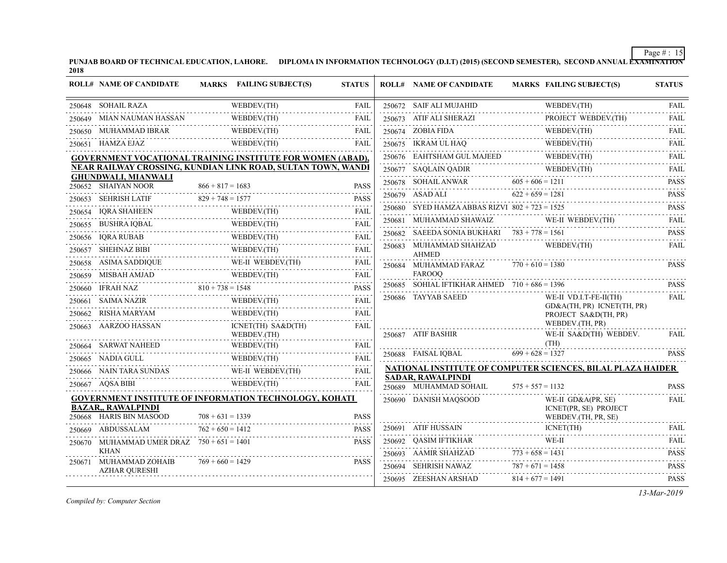PUNJAB BOARD OF TECHNICAL EDUCATION, LAHORE. DIPLOMA IN INFORMATION TECHNOLOGY (D.I.T) (2015) (SECOND SEMESTER), SECOND ANNUAL EXAMINATION'<br>2018

|        | <b>ROLL# NAME OF CANDIDATE</b>                                                                                        |                    | <b>MARKS</b> FAILING SUBJECT(S) | <b>STATUS</b>                                                                                                                                                                               |        | <b>ROLL# NAME OF CANDIDATE</b>                   |                    | <b>MARKS FAILING SUBJECT(S)</b>                                    | <b>STATUS</b>                                                       |
|--------|-----------------------------------------------------------------------------------------------------------------------|--------------------|---------------------------------|---------------------------------------------------------------------------------------------------------------------------------------------------------------------------------------------|--------|--------------------------------------------------|--------------------|--------------------------------------------------------------------|---------------------------------------------------------------------|
|        | 250648 SOHAIL RAZA                                                                                                    |                    | WEBDEV.(TH)                     | <b>FAIL</b><br>.                                                                                                                                                                            |        | 250672 SAIF ALI MUJAHID                          |                    | WEBDEV.(TH)                                                        | <b>FAIL</b><br>.                                                    |
| 250649 | MIAN NAUMAN HASSAN                                                                                                    |                    | WEBDEV.(TH)                     | <b>FAIL</b>                                                                                                                                                                                 |        | 250673 ATIF ALI SHERAZI                          |                    | PROJECT WEBDEV.(TH)                                                | FAIL                                                                |
|        | 250650 MUHAMMAD IBRAR                                                                                                 |                    | WEBDEV.(TH)<br>. <i>.</i>       | <b>FAIL</b>                                                                                                                                                                                 |        | 250674 ZOBIA FIDA                                |                    | WEBDEV.(TH)                                                        | <b>FAIL</b>                                                         |
|        | 250651 HAMZA EJAZ                                                                                                     |                    | WEBDEV.(TH)                     | <b>FAIL</b>                                                                                                                                                                                 |        | 250675 IKRAM UL HAQ                              |                    | WEBDEV.(TH)                                                        | <b>FAIL</b>                                                         |
|        | <b>GOVERNMENT VOCATIONAL TRAINING INSTITUTE FOR WOMEN (ABAD),</b>                                                     |                    |                                 |                                                                                                                                                                                             |        | 250676 EAHTSHAM GUL MAJEED                       |                    | WEBDEV.(TH)                                                        | $-1 - 1 - 1 - 1$<br>FAIL                                            |
|        | NEAR RAILWAY CROSSING, KUNDIAN LINK ROAD, SULTAN TOWN, WANDI                                                          |                    |                                 |                                                                                                                                                                                             |        | 250677 SAQLAIN QADIR                             |                    | WEBDEV.(TH)                                                        | <b>FAIL</b>                                                         |
|        | <b>GHUNDWALI, MIANWALI</b><br>250652 SHAIYAN NOOR                                                                     | $866 + 817 = 1683$ |                                 | <b>PASS</b>                                                                                                                                                                                 |        | 250678 SOHAIL ANWAR                              | $605 + 606 = 1211$ |                                                                    | <b>PASS</b>                                                         |
| 250653 | <b>SEHRISH LATIF</b>                                                                                                  | $829 + 748 = 1577$ |                                 | <b>PASS</b>                                                                                                                                                                                 |        | 250679 ASAD ALI                                  | $622 + 659 = 1281$ |                                                                    | $\alpha$ , $\alpha$ , $\alpha$ , $\alpha$ , $\alpha$<br><b>PASS</b> |
| 250654 | <b>IORA SHAHEEN</b>                                                                                                   |                    | WEBDEV.(TH)                     | <b>FAIL</b>                                                                                                                                                                                 |        | 250680 SYED HAMZA ABBAS RIZVI $802 + 723 = 1525$ |                    |                                                                    | .<br><b>PASS</b>                                                    |
| 250655 | BUSHRA IQBAL                                                                                                          |                    | WEBDEV.(TH)                     | <b>FAIL</b>                                                                                                                                                                                 |        | 250681 MUHAMMAD SHAWAIZ                          |                    | WE-II WEBDEV.(TH)                                                  | <b>FAIL</b>                                                         |
|        | 250656 IQRA RUBAB                                                                                                     |                    | WEBDEV.(TH)                     | .<br>FAIL                                                                                                                                                                                   | 250682 | SAEEDA SONIA BUKHARI $783 + 778 = 1561$          |                    |                                                                    | <b>PASS</b>                                                         |
| 250657 | SHEHNAZ BIBI                                                                                                          |                    | WEBDEV.(TH)                     | 1.1.1.1<br><b>FAIL</b>                                                                                                                                                                      |        | 250683 MUHAMMAD SHAHZAD                          |                    | WEBDEV.(TH)                                                        | <b>Carlo Carlo</b><br><b>FAIL</b>                                   |
|        | $250658$ ASIMA SADDIQUE                                                                                               |                    | WE-II WEBDEV.(TH)               | <b>FAIL</b>                                                                                                                                                                                 |        | <b>AHMED</b><br>250684 MUHAMMAD FARAZ            | $770 + 610 = 1380$ |                                                                    | <b>PASS</b>                                                         |
| 250659 | MISBAH AMJAD                                                                                                          |                    | WEBDEV.(TH)                     | <b>FAIL</b>                                                                                                                                                                                 |        | <b>FAROOO</b>                                    |                    |                                                                    |                                                                     |
|        | 250660 IFRAH NAZ                                                                                                      | $810 + 738 = 1548$ |                                 | $\mathcal{L}^{\mathcal{A}}\left( \mathcal{L}^{\mathcal{A}}\left( \mathcal{L}^{\mathcal{A}}\right) \right) =\mathcal{L}^{\mathcal{A}}\left( \mathcal{L}^{\mathcal{A}}\right)$<br><b>PASS</b> | 250685 | SOHIAL IFTIKHAR AHMED $710 + 686 = 1396$         |                    |                                                                    | <b>PASS</b>                                                         |
|        | 250661 SAIMA NAZIR                                                                                                    |                    | WEBDEV.(TH)                     | <b>FAIL</b>                                                                                                                                                                                 |        | 250686 TAYYAB SAEED                              |                    | WE-II VD.I.T-FE-II(TH)<br>GD&A(TH, PR) ICNET(TH, PR)               | <b>FAIL</b>                                                         |
|        | 250662 RISHA MARYAM                                                                                                   |                    | WEBDEV.(TH)                     | .<br><b>FAIL</b>                                                                                                                                                                            |        |                                                  |                    | PROJECT SA&D(TH, PR)                                               |                                                                     |
| 250663 | AARZOO HASSAN                                                                                                         |                    | ICNET(TH) SA&D(TH)              | <b>FAIL</b>                                                                                                                                                                                 |        | 250687 ATIF BASHIR                               |                    | WEBDEV.(TH, PR)<br>WE-II SA&D(TH) WEBDEV.                          | <b>FAIL</b>                                                         |
|        | 250664 SARWAT NAHEED                                                                                                  |                    | WEBDEV.(TH)<br>WEBDEV.(TH)      | FAIL                                                                                                                                                                                        |        |                                                  |                    | (TH)                                                               |                                                                     |
|        | 250665 NADIA GULL                                                                                                     |                    | WEBDEV.(TH)                     | <b>FAIL</b>                                                                                                                                                                                 |        | 250688 FAISAL IQBAL                              | $699 + 628 = 1327$ |                                                                    | <b>PASS</b>                                                         |
|        | 250666 NAIN TARA SUNDAS                                                                                               |                    | WE-II WEBDEV.(TH)               | .<br><b>FAIL</b>                                                                                                                                                                            |        |                                                  |                    | NATIONAL INSTITUTE OF COMPUTER SCIENCES, BILAL PLAZA HAIDER        |                                                                     |
|        | 250667 AQSA BIBI                                                                                                      |                    | WEBDEV.(TH)                     | 2.2.2.2.2<br><b>FAIL</b>                                                                                                                                                                    |        | <b>SADAR, RAWALPINDI</b>                         |                    |                                                                    |                                                                     |
|        |                                                                                                                       |                    |                                 |                                                                                                                                                                                             |        | 250689 MUHAMMAD SOHAIL                           | $575 + 557 = 1132$ |                                                                    | <b>PASS</b>                                                         |
|        | <b>GOVERNMENT INSTITUTE OF INFORMATION TECHNOLOGY, KOHATI</b><br><b>BAZAR,, RAWALPINDI</b><br>250668 HARIS BIN MASOOD | $708 + 631 = 1339$ |                                 | <b>PASS</b>                                                                                                                                                                                 |        | 250690 DANISH MAQSOOD                            |                    | WE-II GD&A(PR, SE)<br>ICNET(PR, SE) PROJECT<br>WEBDEV.(TH, PR, SE) | <b>FAIL</b>                                                         |
|        | 250669 ABDUSSALAM                                                                                                     | $762 + 650 = 1412$ |                                 | <b>PASS</b>                                                                                                                                                                                 |        | 250691 ATIF HUSSAIN                              |                    | ICNET(TH)                                                          | <b>FAIL</b>                                                         |
|        | 250670 MUHAMMAD UMER DRAZ 750 + 651 = 1401                                                                            |                    |                                 | <b>PASS</b>                                                                                                                                                                                 |        | 250692 QASIM IFTIKHAR                            |                    | WE-II                                                              | 2.2.2.2.2.1<br><b>FAIL</b>                                          |
|        | <b>KHAN</b>                                                                                                           |                    |                                 |                                                                                                                                                                                             |        | 250693 AAMIR SHAHZAD                             | $773 + 658 = 1431$ |                                                                    | <b>PASS</b>                                                         |
|        | 250671 MUHAMMAD ZOHAIB<br><b>AZHAR QURESHI</b>                                                                        | $769 + 660 = 1429$ |                                 | <b>PASS</b>                                                                                                                                                                                 |        | 250694 SEHRISH NAWAZ                             | $787 + 671 = 1458$ |                                                                    | <b>PASS</b>                                                         |
|        |                                                                                                                       |                    |                                 |                                                                                                                                                                                             |        | 250695 ZEESHAN ARSHAD                            | $814 + 677 = 1491$ |                                                                    | <b>PASS</b>                                                         |

*Compiled by: Computer Section*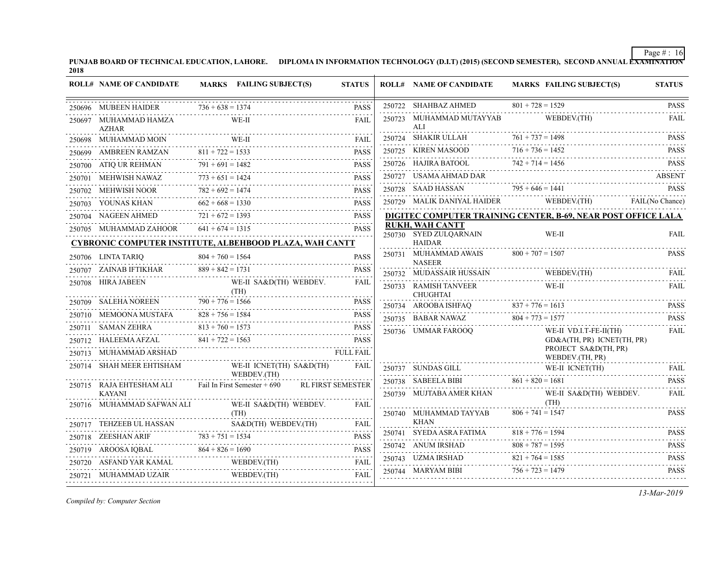PUNJAB BOARD OF TECHNICAL EDUCATION, LAHORE. DIPLOMA IN INFORMATION TECHNOLOGY (D.I.T) (2015) (SECOND SEMESTER), SECOND ANNUAL EXAMINATION'<br>2018

|        | <b>ROLL# NAME OF CANDIDATE</b>            |                    | MARKS FAILING SUBJECT(S)                                                                                                                        | <b>STATUS</b> | <b>ROLL# NAME OF CANDIDATE</b>                   | <b>MARKS FAILING SUBJECT(S)</b>                                                                                                                                                                                                                                                                                                                                                                            | <b>STATUS</b>                                                                                                                                |
|--------|-------------------------------------------|--------------------|-------------------------------------------------------------------------------------------------------------------------------------------------|---------------|--------------------------------------------------|------------------------------------------------------------------------------------------------------------------------------------------------------------------------------------------------------------------------------------------------------------------------------------------------------------------------------------------------------------------------------------------------------------|----------------------------------------------------------------------------------------------------------------------------------------------|
|        | 250696 MUBEEN HAIDER                      | $736 + 638 = 1374$ |                                                                                                                                                 | <b>PASS</b>   | 250722 SHAHBAZ AHMED                             | $801 + 728 = 1529$                                                                                                                                                                                                                                                                                                                                                                                         | <b>PASS</b>                                                                                                                                  |
|        | 250697 MUHAMMAD HAMZA<br><b>AZHAR</b>     |                    | WE-II                                                                                                                                           | <b>FAIL</b>   | 250723 MUHAMMAD MUTAYYAB<br>ALI                  | WEBDEV.(TH)                                                                                                                                                                                                                                                                                                                                                                                                | FAIL                                                                                                                                         |
|        | 250698 MUHAMMAD MOIN                      |                    | WE-II                                                                                                                                           | <b>FAIL</b>   |                                                  |                                                                                                                                                                                                                                                                                                                                                                                                            |                                                                                                                                              |
|        | 250699 AMBREEN RAMZAN                     | $811 + 722 = 1533$ |                                                                                                                                                 | <b>PASS</b>   |                                                  | 250724 SHAKIR ULLAH 761 + 737 = 1498 PASS<br>250725 KIREN MASOOD 716 + 736 = 1452 PASS<br>PASS 250725 KIREN MASOOD 716 + 736 = 1452 PASS                                                                                                                                                                                                                                                                   |                                                                                                                                              |
|        |                                           |                    | 250700 ATIQ UR REHMAN $791 + 691 = 1482$ PASS                                                                                                   | <b>PASS</b>   |                                                  | 250726 HAJIRA BATOOL $742 + 714 = 1456$ PASS                                                                                                                                                                                                                                                                                                                                                               |                                                                                                                                              |
| 250701 | MEHWISH NAWAZ                             | $773 + 651 = 1424$ | VISH NAWAZ $773 + 651 = 1424$ PASS                                                                                                              | <b>PASS</b>   | 250727 USAMA AHMAD DAR                           |                                                                                                                                                                                                                                                                                                                                                                                                            | <b>ABSENT</b>                                                                                                                                |
|        | 250702 MEHWISH NOOR                       | $782 + 692 = 1474$ |                                                                                                                                                 | <b>PASS</b>   | 250728 SAAD HASSAN                               | $795 + 646 = 1441$<br>$250728$ SAAD HASSAN $795 + 646 = 1441$ PASS                                                                                                                                                                                                                                                                                                                                         |                                                                                                                                              |
|        |                                           |                    |                                                                                                                                                 |               |                                                  | 250729 MALIK DANIYAL HAIDER WEBDEV.(TH) FAIL(No Chance)                                                                                                                                                                                                                                                                                                                                                    |                                                                                                                                              |
|        |                                           |                    | $\begin{tabular}{lllllllll} 250703 & YOUNAS KHAM & 662 + 668 = 1330 & PASS \\ 250704 & NAGEEN AHMED & 721 + 672 = 1393 & PASS \\ \end{tabular}$ |               |                                                  | DIGITEC COMPUTER TRAINING CENTER, B-69, NEAR POST OFFICE LALA                                                                                                                                                                                                                                                                                                                                              |                                                                                                                                              |
|        | 250705 MUHAMMAD ZAHOOR $641 + 674 = 1315$ |                    |                                                                                                                                                 | <b>PASS</b>   | <b>RUKH, WAH CANTT</b><br>250730 SYED ZULQARNAIN | WE-II                                                                                                                                                                                                                                                                                                                                                                                                      | <b>FAIL</b>                                                                                                                                  |
|        |                                           |                    | CYBRONIC COMPUTER INSTITUTE, ALBEHBOOD PLAZA, WAH CANTT                                                                                         |               | <b>HAIDAR</b>                                    |                                                                                                                                                                                                                                                                                                                                                                                                            |                                                                                                                                              |
|        | 250706 LINTA TARIQ                        | $804 + 760 = 1564$ |                                                                                                                                                 | <b>PASS</b>   | 250731 MUHAMMAD AWAIS<br><b>NASEER</b>           | $800 + 707 = 1507$                                                                                                                                                                                                                                                                                                                                                                                         | <b>PASS</b>                                                                                                                                  |
|        | 250707 ZAINAB IFTIKHAR 889 + 842 = 1731   |                    |                                                                                                                                                 | <b>PASS</b>   | 250732 MUDASSAIR HUSSAIN                         | WEBDEV.(TH)                                                                                                                                                                                                                                                                                                                                                                                                | <b>FAIL</b>                                                                                                                                  |
|        | 250708 HIRA JABEEN                        |                    | WE-II SA&D(TH) WEBDEV.<br>$(TH)$<br>250709 SALEHA NOREEN $790 + 776 = 1566$ PASS                                                                | FAIL          | 250733 RAMISH TANVEER<br><b>CHUGHTAI</b>         | WE-II                                                                                                                                                                                                                                                                                                                                                                                                      | <b>FAIL</b>                                                                                                                                  |
|        |                                           |                    |                                                                                                                                                 |               |                                                  | POLITIAI<br>250734 AROOBA ISHFAQ 837 + 776 = 1613 PASS                                                                                                                                                                                                                                                                                                                                                     |                                                                                                                                              |
|        | 250710 MEMOONA MUSTAFA                    |                    | $828 + 756 = 1584$                                                                                                                              | PASS          |                                                  | 250735 BABAR NAWAZ $804 + 773 = 1577$                                                                                                                                                                                                                                                                                                                                                                      | <b>PASS</b>                                                                                                                                  |
|        | $250711$ SAMAN ZEHRA                      | $813 + 760 = 1573$ |                                                                                                                                                 | <b>PASS</b>   | 250736 UMMAR FAROOQ                              | WE-II VD.I.T-FE-II(TH)                                                                                                                                                                                                                                                                                                                                                                                     | $\mathcal{L}^{\mathcal{A}}\left( \mathcal{A}^{\mathcal{A}}\right) =\mathcal{L}^{\mathcal{A}}\left( \mathcal{A}^{\mathcal{A}}\right)$<br>FAIL |
|        |                                           |                    | 250712 HALEEMA AFZAL $841 + 722 = 1563$                                                                                                         | <b>PASS</b>   |                                                  | GD&A(TH, PR) ICNET(TH, PR)                                                                                                                                                                                                                                                                                                                                                                                 |                                                                                                                                              |
|        | 250713 MUHAMMAD ARSHAD                    |                    | FULL FAIL                                                                                                                                       |               |                                                  | PROJECT SA&D(TH, PR)<br>WEBDEV.(TH, PR)                                                                                                                                                                                                                                                                                                                                                                    |                                                                                                                                              |
|        | 250714 SHAH MEER EHTISHAM                 |                    | WE-II ICNET(TH) SA&D(TH)<br>WEBDEV.(TH)                                                                                                         | <b>FAIL</b>   |                                                  | 250737 SUNDAS GILL WE-II ICNET(TH) FAIL                                                                                                                                                                                                                                                                                                                                                                    |                                                                                                                                              |
|        |                                           |                    | 250715 RAJA EHTESHAM ALI Fail In First Semester + 690 RL FIRST SEMESTER                                                                         |               |                                                  | 250738 SABEELA BIBI $861 + 820 = 1681$                                                                                                                                                                                                                                                                                                                                                                     | <b>PASS</b>                                                                                                                                  |
|        | <b>KAYANI</b>                             |                    |                                                                                                                                                 |               | 250739 MUJTABA AMER KHAN                         | WE-II SA&D(TH) WEBDEV.                                                                                                                                                                                                                                                                                                                                                                                     | <b>FAIL</b>                                                                                                                                  |
|        | 250716 MUHAMMAD SAFWAN ALI                |                    | WE-II SA&D(TH) WEBDEV.<br>(TH)                                                                                                                  | FAIL          | 250740 MUHAMMAD TAYYAB                           | (TH)<br>$806 + 741 = 1547$                                                                                                                                                                                                                                                                                                                                                                                 | <b>PASS</b>                                                                                                                                  |
|        |                                           |                    | 250717 TEHZEEB UL HASSAN SA&D(TH) WEBDEV(TH) FAIL                                                                                               | FAIL          | <b>KHAN</b>                                      |                                                                                                                                                                                                                                                                                                                                                                                                            |                                                                                                                                              |
|        | 250718 ZEESHAN ARIF                       |                    | SHAN ARIF $783 + 751 = 1534$ PASS                                                                                                               |               |                                                  | $\begin{tabular}{c c c} \multicolumn{2}{c }{\textbf{250741}} & \textbf{SYEDA ASRA FATIMA} & \textbf{818 + 776 = 1594} & \textbf{PASS} \\ \multicolumn{2}{c }{\textbf{250742}} & \textbf{ANUM IRSHAD} & \textbf{808 + 787 = 1595} & \textbf{PASS} \\ \multicolumn{2}{c }{\textbf{250742}} & \textbf{ANUM IRSHAD} & \textbf{1508} & \textbf{1509} \\ \multicolumn{2}{c }{\textbf{250742}} & \textbf{ANUM IR$ |                                                                                                                                              |
|        |                                           |                    | 250719 AROOSA IQBAL 864 + 826 = 1690 PASS                                                                                                       | PASS          |                                                  |                                                                                                                                                                                                                                                                                                                                                                                                            |                                                                                                                                              |
|        |                                           |                    | 250720 ASFAND YAR KAMAL WEBDEV.(TH)                                                                                                             | <b>FAIL</b>   |                                                  | 250743 UZMA IRSHAD $821 + 764 = 1585$ PASS                                                                                                                                                                                                                                                                                                                                                                 |                                                                                                                                              |
|        | 250721 MUHAMMAD UZAIR                     |                    | WEBDEV.(TH)                                                                                                                                     | FAIL          |                                                  | $250744$ MARYAM BIBI $756 + 723 = 1479$ PASS                                                                                                                                                                                                                                                                                                                                                               |                                                                                                                                              |
|        |                                           |                    |                                                                                                                                                 |               |                                                  |                                                                                                                                                                                                                                                                                                                                                                                                            |                                                                                                                                              |

*Compiled by: Computer Section*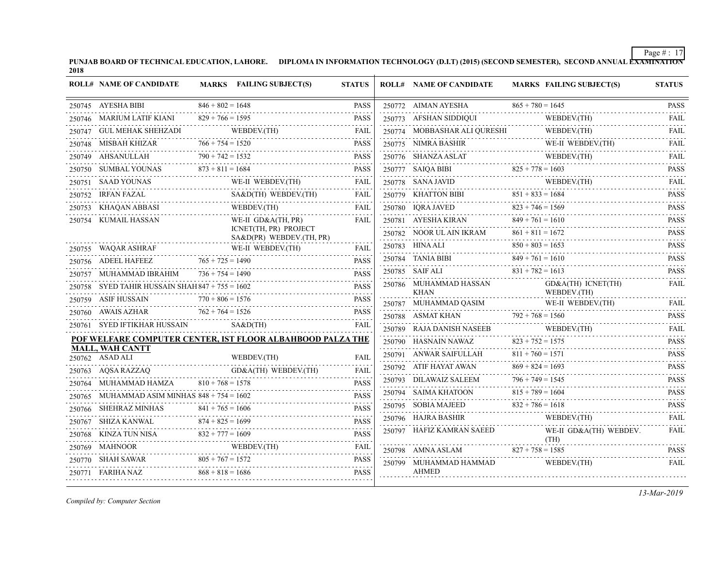PUNJAB BOARD OF TECHNICAL EDUCATION, LAHORE. DIPLOMA IN INFORMATION TECHNOLOGY (D.I.T) (2015) (SECOND SEMESTER), SECOND ANNUAL EXAMINATION'<br>2018

|        | <b>ROLL# NAME OF CANDIDATE</b>                    |                    | MARKS FAILING SUBJECT(S)                                                                                                                                                                                                                                                                                                                                                                                                                                          | <b>STATUS</b> | <b>ROLL# NAME OF CANDIDATE</b>            | <b>MARKS FAILING SUBJECT(S)</b>                                             | <b>STATUS</b>                                                     |
|--------|---------------------------------------------------|--------------------|-------------------------------------------------------------------------------------------------------------------------------------------------------------------------------------------------------------------------------------------------------------------------------------------------------------------------------------------------------------------------------------------------------------------------------------------------------------------|---------------|-------------------------------------------|-----------------------------------------------------------------------------|-------------------------------------------------------------------|
|        | 250745 AYESHA BIBI                                | $846 + 802 = 1648$ |                                                                                                                                                                                                                                                                                                                                                                                                                                                                   | <b>PASS</b>   | 250772 AIMAN AYESHA                       | $865 + 780 = 1645$                                                          | <b>PASS</b>                                                       |
|        | 250746 MARIUM LATIF KIANI                         | $829 + 766 = 1595$ |                                                                                                                                                                                                                                                                                                                                                                                                                                                                   | <b>PASS</b>   | 250773 AFSHAN SIDDIQUI                    | WEBDEV.(TH)                                                                 | <b>FAIL</b>                                                       |
|        | 250747 GUL MEHAK SHEHZADI                         |                    | $\begin{array}{c} \text{WEBDEV(TH)}\\ \text{}\\ \end{array}$                                                                                                                                                                                                                                                                                                                                                                                                      | FAIL          | 250774 MOBBASHAR ALI QURESHI              | WEBDEV.(TH)                                                                 | .<br>FAIL                                                         |
|        | 250748 MISBAH KHIZAR                              | $766 + 754 = 1520$ |                                                                                                                                                                                                                                                                                                                                                                                                                                                                   | <b>PASS</b>   |                                           | 250775 NIMRA BASHIR WE-II WEBDEV.(TH)                                       | <b>FAIL</b>                                                       |
|        | 250749 AHSANULLAH                                 | $790 + 742 = 1532$ | AHSANULLAH 790 + 742 = 1532 PASS                                                                                                                                                                                                                                                                                                                                                                                                                                  | <b>PASS</b>   | 250776 SHANZA ASLAT                       | 50776 SHANZA ASLAT WEBDEV. (TH)                                             | $-1 - 1 - 1$<br><b>FAIL</b>                                       |
|        | 250750 SUMBAL YOUNAS                              | $873 + 811 = 1684$ |                                                                                                                                                                                                                                                                                                                                                                                                                                                                   | <b>PASS</b>   |                                           | 250777 SAIQA BIBI $825 + 778 = 1603$                                        | .<br><b>PASS</b>                                                  |
|        | 250751 SAAD YOUNAS WE-II                          |                    | WE-II WEBDEV.(TH)                                                                                                                                                                                                                                                                                                                                                                                                                                                 | FAIL          |                                           |                                                                             | <b>FAIL</b><br>$\mathbb{Z} \times \mathbb{Z} \times \mathbb{Z}$ . |
|        | 250752 IRFAN FAZAL                                |                    | SA&D(TH) WEBDEV.(TH)                                                                                                                                                                                                                                                                                                                                                                                                                                              | FAIL          |                                           | 250778 SANA JAVID WEBDEV.(TH)<br>250779 KHATTON BIBI 851 + 833 = 1684       | <b>PASS</b>                                                       |
|        | 250753 KHAQAN ABBASI                              |                    | WEBDEV.(TH)                                                                                                                                                                                                                                                                                                                                                                                                                                                       | FAIL          | 250780 IQRA JAVED $823 + 746 = 1569$      |                                                                             | .<br><b>PASS</b>                                                  |
|        | 250754 KUMAIL HASSAN                              |                    | WE-II GD&A(TH, PR)                                                                                                                                                                                                                                                                                                                                                                                                                                                | <b>FAIL</b>   |                                           | 250781 AYESHA KIRAN $849 + 761 = 1610$                                      | <b>PASS</b>                                                       |
|        |                                                   |                    | ICNET(TH, PR) PROJECT<br>SA&D(PR) WEBDEV.(TH, PR)                                                                                                                                                                                                                                                                                                                                                                                                                 |               | 250782 NOOR UL AIN IKRAM                  | $861 + 811 = 1672$                                                          | 1.1.1.1.1<br><b>PASS</b>                                          |
|        |                                                   |                    |                                                                                                                                                                                                                                                                                                                                                                                                                                                                   | <b>FAIL</b>   | 250783 HINA ALI                           | $850 + 803 = 1653$                                                          | .<br><b>PASS</b>                                                  |
|        |                                                   |                    | $\underbrace{250755}_{250755} \text{ WAQAR ASHRAF} \begin{tabular}{lllllllllll} \multicolumn{2}{c}{WE-II} \text{ WEBDEV (TH)} \end{tabular} \begin{tabular}{lllllllll} \multicolumn{2}{c}{PAII} \multicolumn{2}{c}{PAS} \multicolumn{2}{c}{PAS} \multicolumn{2}{c}{PAS} \multicolumn{2}{c}{PAS} \multicolumn{2}{c}{PAS} \multicolumn{2}{c}{PAS} \multicolumn{2}{c}{PAS} \multicolumn{2}{c}{PAS} \multicolumn{2}{c}{PAS} \multicolumn{2}{c}{PAS} \multicolumn{2}{$ | <b>PASS</b>   |                                           | $250784$ TANIA BIBI $849 + 761 = 1610$                                      | <b>PASS</b><br>بالمتمالي                                          |
|        | 250757 MUHAMMAD IBRAHIM                           | $736 + 754 = 1490$ |                                                                                                                                                                                                                                                                                                                                                                                                                                                                   | <b>PASS</b>   | 250785 SAIF ALI                           | $831 + 782 = 1613$                                                          | <b>PASS</b>                                                       |
|        | 250758 SYED TAHIR HUSSAIN SHAH $847 + 755 = 1602$ |                    |                                                                                                                                                                                                                                                                                                                                                                                                                                                                   | PASS          | 250786 MUHAMMAD HASSAN<br><b>KHAN</b>     | GD&A(TH) ICNET(TH)<br>WEBDEV.(TH)                                           | <b>FAIL</b>                                                       |
|        | 250759 ASIF HUSSAIN                               | $770 + 806 = 1576$ |                                                                                                                                                                                                                                                                                                                                                                                                                                                                   | <b>PASS</b>   | 250787 MUHAMMAD QASIM                     | AD QASIM WE-II WEBDEV.(TH)                                                  | <b>FAIL</b>                                                       |
|        | $762 + 764 = 1526$<br>250760 AWAIS AZHAR          |                    | $762 + 764 = 1526$ PASS                                                                                                                                                                                                                                                                                                                                                                                                                                           | <b>PASS</b>   | 250788 ASMAT KHAN $792 + 768 = 1560$      |                                                                             | <b>PASS</b>                                                       |
|        | 250761 SYED IFTIKHAR HUSSAIN                      |                    | S A & D(TH)                                                                                                                                                                                                                                                                                                                                                                                                                                                       | <b>FAIL</b>   |                                           |                                                                             | <b>FAIL</b>                                                       |
|        |                                                   |                    | POF WELFARE COMPUTER CENTER, IST FLOOR ALBAHBOOD PALZA THE                                                                                                                                                                                                                                                                                                                                                                                                        |               |                                           | WEBUEV.(TH)<br>250790 HASNAIN NAWAZ 823 + 752 = 1575<br>250791 ANWELLY 2007 | .<br><b>PASS</b>                                                  |
|        | <b>MALL, WAH CANTT</b><br>$250762$ ASAD ALI       |                    | WEBDEV.(TH)                                                                                                                                                                                                                                                                                                                                                                                                                                                       | <b>FAIL</b>   | 250791 ANWAR SAIFULLAH $811 + 760 = 1571$ |                                                                             | <b>PASS</b>                                                       |
|        |                                                   |                    |                                                                                                                                                                                                                                                                                                                                                                                                                                                                   | FAIL          |                                           | $250792$ ATIF HAYAT AWAN $869 + 824 = 1693$                                 | <b>PASS</b>                                                       |
|        | 250763 AQSA RAZZAQ<br>250764 MUHAMMAD HAMZA       | $810 + 768 = 1578$ | GD&A(TH) WEBDEV.(TH)                                                                                                                                                                                                                                                                                                                                                                                                                                              | <b>PASS</b>   | 250793 DILAWAIZ SALEEM $796 + 749 = 1545$ |                                                                             | .<br><b>PASS</b>                                                  |
|        | MUHAMMAD ASIM MINHAS $848 + 754 = 1602$           |                    |                                                                                                                                                                                                                                                                                                                                                                                                                                                                   | <b>PASS</b>   | 250794 SAIMA KHATOON 815 + 789 = 1604     |                                                                             | <b>PASS</b>                                                       |
| 250765 |                                                   | $841 + 765 = 1606$ |                                                                                                                                                                                                                                                                                                                                                                                                                                                                   | <b>PASS</b>   | 250795 SOBIA MAJEED $832 + 786 = 1618$    |                                                                             | <b>PASS</b>                                                       |
|        | $250766 \quad \text{SHEHRAZ MINHAS}$              |                    |                                                                                                                                                                                                                                                                                                                                                                                                                                                                   | <b>PASS</b>   | 250796 HAJRA BASHIR                       | WEBDEV.(TH)                                                                 | 2.2.2.2.2.1<br><b>FAIL</b>                                        |
|        |                                                   |                    | 250767 SHIZA KANWAL 874 + 825 = 1699<br>250767 SHIZA KANWAL 832 + 777 = 1609<br>250768 KINZA TUN NISA $832 + 777 = 1609$ PASS                                                                                                                                                                                                                                                                                                                                     |               | 250797 HAFIZ KAMRAN SAEED                 | WE-II GD&A(TH) WEBDEV.                                                      | .<br>FAIL                                                         |
|        | 250769 MAHNOOR                                    |                    | R<br>THE WEBDEV.(TH)                                                                                                                                                                                                                                                                                                                                                                                                                                              | FAIL          | 250798 AMNA ASLAM $827 + 758 = 1585$      | (TH)                                                                        | <b>PASS</b>                                                       |
|        |                                                   | $805 + 767 = 1572$ |                                                                                                                                                                                                                                                                                                                                                                                                                                                                   | <b>PASS</b>   |                                           |                                                                             | .<br><b>FAIL</b>                                                  |
|        | 250771 FARIHA NAZ                                 | $868 + 818 = 1686$ |                                                                                                                                                                                                                                                                                                                                                                                                                                                                   | <b>PASS</b>   | <b>AHMED</b>                              |                                                                             |                                                                   |
|        |                                                   |                    |                                                                                                                                                                                                                                                                                                                                                                                                                                                                   |               | 250799 MUHAMMAD HAMMAD                    | WEBDEV.(TH)                                                                 |                                                                   |

*Compiled by: Computer Section*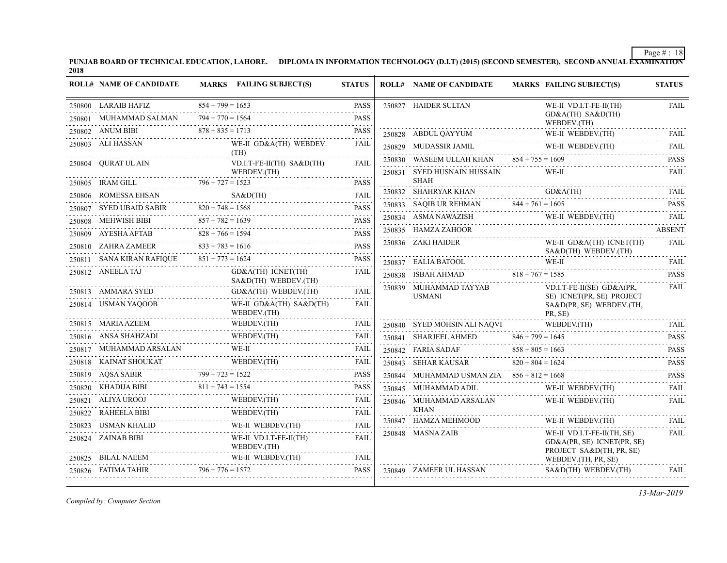PUNJAB BOARD OF TECHNICAL EDUCATION, LAHORE. DIPLOMA IN INFORMATION TECHNOLOGY (D.I.T) (2015) (SECOND SEMESTER), SECOND ANNUAL EXAMINATION'<br>2018

| <b>ROLL# NAME OF CANDIDATE</b>                         | MARKS FAILING SUBJECT(S)                                                                                                                                                                                                                                                                                                                                                                                                  | <b>STATUS</b> | <b>ROLL# NAME OF CANDIDATE</b>               | <b>MARKS FAILING SUBJECT(S)</b>                                                                                                                                                                                                                                                                                                                                                                                                            | <b>STATUS</b>    |
|--------------------------------------------------------|---------------------------------------------------------------------------------------------------------------------------------------------------------------------------------------------------------------------------------------------------------------------------------------------------------------------------------------------------------------------------------------------------------------------------|---------------|----------------------------------------------|--------------------------------------------------------------------------------------------------------------------------------------------------------------------------------------------------------------------------------------------------------------------------------------------------------------------------------------------------------------------------------------------------------------------------------------------|------------------|
| 250800 LARAIB HAFIZ                                    | $854 + 799 = 1653$                                                                                                                                                                                                                                                                                                                                                                                                        | <b>PASS</b>   | 250827 HAIDER SULTAN                         | WE-II VD.I.T-FE-II(TH)                                                                                                                                                                                                                                                                                                                                                                                                                     | <b>FAIL</b>      |
| 250801 MUHAMMAD SALMAN                                 | $794 + 770 = 1564$<br><u>.</u>                                                                                                                                                                                                                                                                                                                                                                                            | <b>PASS</b>   |                                              | GD&A(TH) SA&D(TH)<br>WEBDEV.(TH)                                                                                                                                                                                                                                                                                                                                                                                                           |                  |
| 250802 ANUM BIBI                                       | $878 + 835 = 1713$                                                                                                                                                                                                                                                                                                                                                                                                        | <b>PASS</b>   | 250828 ABDUL QAYYUM                          | WE-II WEBDEV.(TH)                                                                                                                                                                                                                                                                                                                                                                                                                          | FAIL             |
| 250803 ALI HASSAN                                      | WE-II GD&A(TH) WEBDEV.                                                                                                                                                                                                                                                                                                                                                                                                    | <b>FAIL</b>   |                                              | WE-II WEBDEV.(TH)<br>WE-II WEBDEV.(TH)                                                                                                                                                                                                                                                                                                                                                                                                     | FAII.            |
| 250804 OURAT UL AIN                                    | (TH)<br>VD.I.T-FE-II(TH) SA&D(TH)                                                                                                                                                                                                                                                                                                                                                                                         | FAIL          | 250830 WASEEM ULLAH KHAN $854 + 755 = 1609$  |                                                                                                                                                                                                                                                                                                                                                                                                                                            | <b>PASS</b>      |
|                                                        | WEBDEV.(TH)                                                                                                                                                                                                                                                                                                                                                                                                               |               | 250831 SYED HUSNAIN HUSSAIN                  | WE-II                                                                                                                                                                                                                                                                                                                                                                                                                                      | <b>FAIL</b>      |
|                                                        | $\begin{tabular}{llllll} \multicolumn{2}{l}{{\textbf{250805}}} & \multicolumn{2}{c}{\textbf{IRAM GILL}} & \multicolumn{2}{c}{\textbf{796 + 727 = 1523}} & \multicolumn{2}{c}{\textbf{PASSS}}\\ & \multicolumn{2}{c}{\textbf{796 + 727 = 1523}} & \multicolumn{2}{c}{\textbf{PASSS}}\\ & \multicolumn{2}{c}{\textbf{796 + 727 = 1523}} & \multicolumn{2}{c}{\textbf{PASSS}}\\ & \multicolumn{2}{c}{\textbf{796 + 727 = 15$ | <b>PASS</b>   | <b>SHAH</b>                                  |                                                                                                                                                                                                                                                                                                                                                                                                                                            |                  |
|                                                        | 250806 ROMESSA EHSAN SA&D(TH) FAIL                                                                                                                                                                                                                                                                                                                                                                                        | <b>FAIL</b>   |                                              | 250832 SHAHRYAR KHAN GD&A(TH) FAIL                                                                                                                                                                                                                                                                                                                                                                                                         |                  |
|                                                        | 250807 SYED UBAID SABIR $820 + 748 = 1568$ PASS                                                                                                                                                                                                                                                                                                                                                                           | <b>PASS</b>   | 250833 SAQIB UR REHMAN $844 + 761 = 1605$    |                                                                                                                                                                                                                                                                                                                                                                                                                                            | <b>PASS</b>      |
|                                                        | 250808 MEHWISH BIBI $857 + 782 = 1639$                                                                                                                                                                                                                                                                                                                                                                                    | <b>PASS</b>   |                                              | $\begin{tabular}{ll} \bf 250834 & \bf ASMA NAWAZISH & \quad WE-II WEBDEV (TH) \\ \hline \end{tabular}$                                                                                                                                                                                                                                                                                                                                     | FAIL             |
| 250809 AYESHA AFTAB                                    | $828 + 766 = 1594$<br>A AFTAB 228 + 766 = 1594 PASS                                                                                                                                                                                                                                                                                                                                                                       | <b>PASS</b>   | 250835 HAMZA ZAHOOR                          |                                                                                                                                                                                                                                                                                                                                                                                                                                            | <b>ABSENT</b>    |
| 250810 ZAHRA ZAMEER                                    | $833 + 783 = 1616$                                                                                                                                                                                                                                                                                                                                                                                                        | <b>PASS</b>   | 250836 ZAKI HAIDER                           | WE-II GD&A(TH) ICNET(TH)<br>SA&D(TH) WEBDEV.(TH)                                                                                                                                                                                                                                                                                                                                                                                           | <b>FAIL</b>      |
| 250811 SANA KIRAN RAFIQUE $851 + 773 = 1624$           |                                                                                                                                                                                                                                                                                                                                                                                                                           | <b>PASS</b>   |                                              | 250837 EALIA BATOOL WE-II FAIL                                                                                                                                                                                                                                                                                                                                                                                                             |                  |
| 250812 ANEELA TAJ                                      | GD&A(TH) ICNET(TH)<br>SA&D(TH) WEBDEV.(TH)                                                                                                                                                                                                                                                                                                                                                                                | FAIL          | 250838 ISBAH AHMAD 818 + 767 = 1585          |                                                                                                                                                                                                                                                                                                                                                                                                                                            | <b>PASS</b><br>. |
| 250813 AMMARA SYED                                     | GD&A(TH) WEBDEV.(TH)                                                                                                                                                                                                                                                                                                                                                                                                      | FAIL          | 250839 MUHAMMAD TAYYAB                       | $VD.I.T-FE-II(SE)$ $GD&A(PR)$                                                                                                                                                                                                                                                                                                                                                                                                              | FAIL             |
| 250814 USMAN YAQOOB                                    | WE-II GD&A(TH) SA&D(TH)<br>WEBDEV.(TH)                                                                                                                                                                                                                                                                                                                                                                                    | FAIL          | <b>USMANI</b>                                | SE) ICNET(PR, SE) PROJECT<br>SA&D(PR, SE) WEBDEV.(TH,<br>PR, SE)                                                                                                                                                                                                                                                                                                                                                                           |                  |
| 250815 MARIA AZEEM                                     | WEBDEV.(TH)                                                                                                                                                                                                                                                                                                                                                                                                               | FAIL          | 250840 SYED MOHSIN ALI NAQVI WEBDEV.(TH)     |                                                                                                                                                                                                                                                                                                                                                                                                                                            | <b>FAIL</b>      |
| 250816 ANSA SHAHZADI                                   |                                                                                                                                                                                                                                                                                                                                                                                                                           | FAIL          |                                              | $\begin{tabular}{lll} \multicolumn{2}{l}{{\small 250840}} & \multicolumn{2}{l}{\text{NYED MONOHSIN ALI NAQVI}} & \multicolumn{2}{l}{\text{WEBDEV.(TH)}}\\ & \multicolumn{2}{l}{\small 250841} & \multicolumn{2}{l}{\text{SHARIEEL AHMED}} & \multicolumn{2}{l}{\text{846 + 799 = 1645}}\\ & \multicolumn{2}{l}{\text{250841}} & \multicolumn{2}{l}{\text{SHARIEEL AHMED}} & \multicolumn{2}{l}{\text{846 + 799 = 1645}}\\ & \multicolumn{$ | <b>PASS</b>      |
| 250817 MUHAMMAD ARSALAN                                | WE-II<br>                                                                                                                                                                                                                                                                                                                                                                                                                 | FAIL          |                                              | 250842 FARIA SADAF $858 + 805 = 1663$ PASS                                                                                                                                                                                                                                                                                                                                                                                                 | د د د د د د      |
|                                                        |                                                                                                                                                                                                                                                                                                                                                                                                                           | FAIL          | 250843 SEHAR KAUSAR $820 + 804 = 1624$       | 1624 PASS                                                                                                                                                                                                                                                                                                                                                                                                                                  |                  |
|                                                        | 250818 KAINAT SHOUKAT WEBDEV(TH) FAIL 250819 AQSA SABIR 799 + 723 = 1522 PASS                                                                                                                                                                                                                                                                                                                                             | <b>PASS</b>   | 250844 MUHAMMAD USMAN ZIA $856 + 812 = 1668$ |                                                                                                                                                                                                                                                                                                                                                                                                                                            | <b>PASS</b>      |
| 250820 KHADIJA BIBI                                    | A BIBI $811 + 743 = 1554$                                                                                                                                                                                                                                                                                                                                                                                                 | <b>PASS</b>   | 250845 MUHAMMAD ADIL                         | WE-II WEBDEV.(TH)                                                                                                                                                                                                                                                                                                                                                                                                                          | <b>FAIL</b>      |
| 250821 ALIYA UROOJ                                     |                                                                                                                                                                                                                                                                                                                                                                                                                           | FAIL          | 250846 MUHAMMAD ARSALAN                      | WE-II WEBDEV.(TH)                                                                                                                                                                                                                                                                                                                                                                                                                          | <b>FAIL</b>      |
| 250822 RAHEELA BIBI                                    |                                                                                                                                                                                                                                                                                                                                                                                                                           | FAIL          | <b>KHAN</b>                                  |                                                                                                                                                                                                                                                                                                                                                                                                                                            |                  |
| 250823 USMAN KHALID<br>.ID<br>------------------------ | WE-II WEBDEV.(TH)                                                                                                                                                                                                                                                                                                                                                                                                         | FAIL          | 250847 HAMZA MEHMOOD                         | WE-II WEBDEV.(TH)                                                                                                                                                                                                                                                                                                                                                                                                                          | <b>FAIL</b>      |
| 250824 ZAINAB BIBI                                     | WE-II VD.I.T-FE-II(TH)<br>WEBDEV.(TH)                                                                                                                                                                                                                                                                                                                                                                                     | FAIL          | 250848 MASNA ZAIB                            | WE-II VD.I.T-FE-II(TH, SE)<br>GD&A(PR, SE) ICNET(PR, SE)<br>PROJECT SA&D(TH, PR, SE)                                                                                                                                                                                                                                                                                                                                                       | FAIL             |
| 250825 BILAL NAEEM                                     | WE-II WEBDEV.(TH)                                                                                                                                                                                                                                                                                                                                                                                                         | FAIL          |                                              | WEBDEV.(TH, PR, SE)                                                                                                                                                                                                                                                                                                                                                                                                                        |                  |
| 250826 FATIMA TAHIR $796 + 776 = 1572$                 |                                                                                                                                                                                                                                                                                                                                                                                                                           | <b>PASS</b>   | 250849 ZAMEER UL HASSAN                      | $SAB$ (TH) WEBDEV(TH)                                                                                                                                                                                                                                                                                                                                                                                                                      | <b>FAIL</b>      |

*Compiled by: Computer Section*